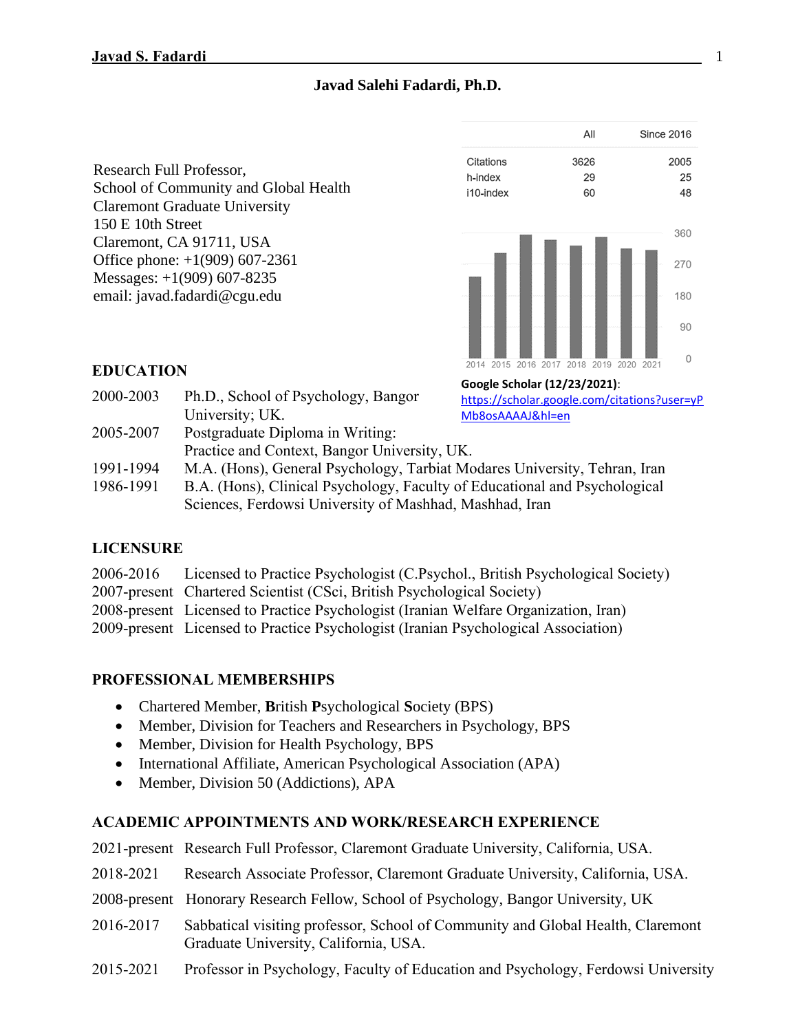# **Javad Salehi Fadardi, Ph.D.**

Research Full Professor, School of Community and Global Health Claremont Graduate University 150 E 10th Street Claremont, CA 91711, USA Office phone: +1(909) 607-2361 Messages: +1(909) 607-8235 email: javad.fadardi@cgu.edu



# **EDUCATION**

2000-2003 Ph.D., School of Psychology, Bangor University; UK. 2005-2007 Postgraduate Diploma in Writing: Practice and Context, Bangor University, UK. 1991-1994 M.A. (Hons), General Psychology, Tarbiat Modares University, Tehran, Iran **Google Scholar (12/23/2021)**: [https://scholar.google.com/citations?user=yP](https://scholar.google.com/citations?user=yPMb8osAAAAJ&hl=en) [Mb8osAAAAJ&hl=en](https://scholar.google.com/citations?user=yPMb8osAAAAJ&hl=en)

1986-1991 B.A. (Hons), Clinical Psychology, Faculty of Educational and Psychological Sciences, Ferdowsi University of Mashhad, Mashhad, Iran

# **LICENSURE**

| 2006-2016 Licensed to Practice Psychologist (C.Psychol., British Psychological Society) |
|-----------------------------------------------------------------------------------------|
| 2007-present Chartered Scientist (CSci, British Psychological Society)                  |
| 2008-present Licensed to Practice Psychologist (Iranian Welfare Organization, Iran)     |
| 2009-present Licensed to Practice Psychologist (Iranian Psychological Association)      |

# **PROFESSIONAL MEMBERSHIPS**

- Chartered Member, **B**ritish **P**sychological **S**ociety (BPS)
- Member, Division for Teachers and Researchers in Psychology, BPS
- Member, Division for Health Psychology, BPS
- International Affiliate, American Psychological Association (APA)
- Member, Division 50 (Addictions), APA

# **ACADEMIC APPOINTMENTS AND WORK/RESEARCH EXPERIENCE**

|           | 2021-present Research Full Professor, Claremont Graduate University, California, USA. |  |  |  |
|-----------|---------------------------------------------------------------------------------------|--|--|--|
| 2018-2021 | Research Associate Professor, Claremont Graduate University, California, USA.         |  |  |  |
|           | 2008-present Honorary Research Fellow, School of Psychology, Bangor University, UK    |  |  |  |
| 2016.2017 | $0.11.1$ $1.1.1$ $1.1.1.1$                                                            |  |  |  |

- 2016-2017 Sabbatical visiting professor, School of Community and Global Health, Claremont Graduate University, California, USA.
- 2015-2021 Professor in Psychology, Faculty of Education and Psychology, Ferdowsi University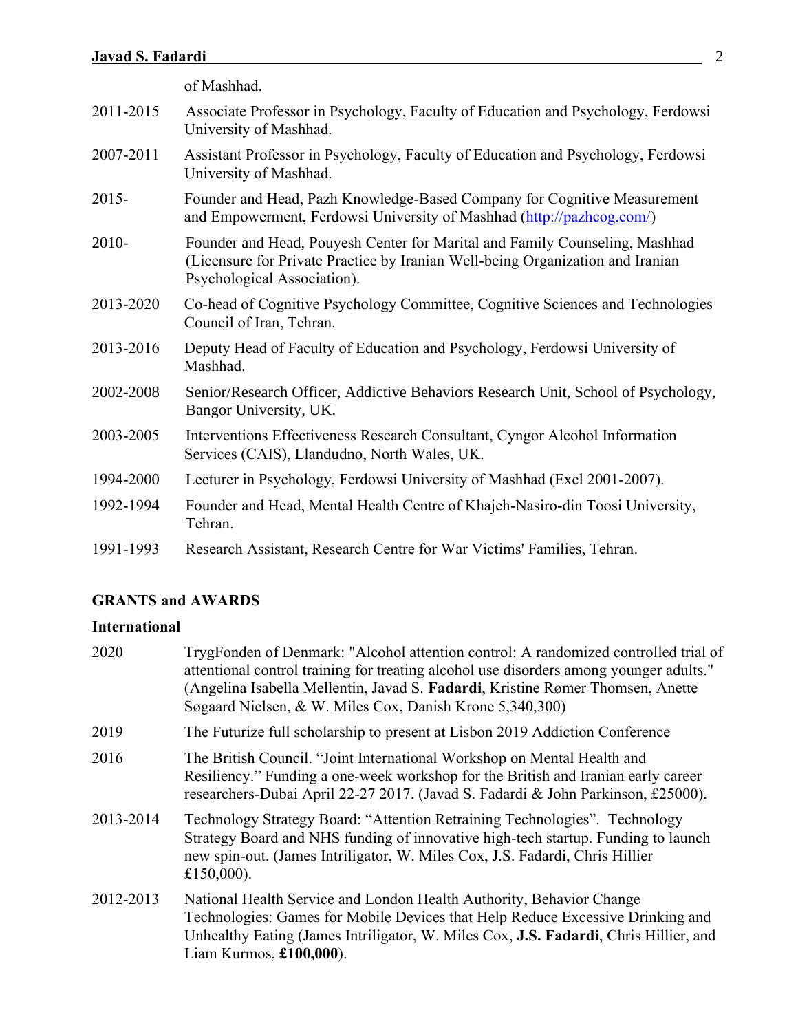|           | of Mashhad.                                                                                                                                                                                  |  |  |
|-----------|----------------------------------------------------------------------------------------------------------------------------------------------------------------------------------------------|--|--|
| 2011-2015 | Associate Professor in Psychology, Faculty of Education and Psychology, Ferdowsi<br>University of Mashhad.                                                                                   |  |  |
| 2007-2011 | Assistant Professor in Psychology, Faculty of Education and Psychology, Ferdowsi<br>University of Mashhad.                                                                                   |  |  |
| $2015 -$  | Founder and Head, Pazh Knowledge-Based Company for Cognitive Measurement<br>and Empowerment, Ferdowsi University of Mashhad (http://pazhcog.com/)                                            |  |  |
| 2010-     | Founder and Head, Pouyesh Center for Marital and Family Counseling, Mashhad<br>(Licensure for Private Practice by Iranian Well-being Organization and Iranian<br>Psychological Association). |  |  |
| 2013-2020 | Co-head of Cognitive Psychology Committee, Cognitive Sciences and Technologies<br>Council of Iran, Tehran.                                                                                   |  |  |
| 2013-2016 | Deputy Head of Faculty of Education and Psychology, Ferdowsi University of<br>Mashhad.                                                                                                       |  |  |
| 2002-2008 | Senior/Research Officer, Addictive Behaviors Research Unit, School of Psychology,<br>Bangor University, UK.                                                                                  |  |  |
| 2003-2005 | Interventions Effectiveness Research Consultant, Cyngor Alcohol Information<br>Services (CAIS), Llandudno, North Wales, UK.                                                                  |  |  |
| 1994-2000 | Lecturer in Psychology, Ferdowsi University of Mashhad (Excl 2001-2007).                                                                                                                     |  |  |
| 1992-1994 | Founder and Head, Mental Health Centre of Khajeh-Nasiro-din Toosi University,<br>Tehran.                                                                                                     |  |  |
| 1991-1993 | Research Assistant, Research Centre for War Victims' Families, Tehran.                                                                                                                       |  |  |

# **GRANTS and AWARDS**

# **International**

| 2020      | TrygFonden of Denmark: "Alcohol attention control: A randomized controlled trial of<br>attentional control training for treating alcohol use disorders among younger adults."<br>(Angelina Isabella Mellentin, Javad S. Fadardi, Kristine Rømer Thomsen, Anette<br>Søgaard Nielsen, & W. Miles Cox, Danish Krone 5,340,300) |  |
|-----------|-----------------------------------------------------------------------------------------------------------------------------------------------------------------------------------------------------------------------------------------------------------------------------------------------------------------------------|--|
| 2019      | The Futurize full scholarship to present at Lisbon 2019 Addiction Conference                                                                                                                                                                                                                                                |  |
| 2016      | The British Council. "Joint International Workshop on Mental Health and<br>Resiliency." Funding a one-week workshop for the British and Iranian early career<br>researchers-Dubai April 22-27 2017. (Javad S. Fadardi & John Parkinson, £25000).                                                                            |  |
| 2013-2014 | Technology Strategy Board: "Attention Retraining Technologies". Technology<br>Strategy Board and NHS funding of innovative high-tech startup. Funding to launch<br>new spin-out. (James Intriligator, W. Miles Cox, J.S. Fadardi, Chris Hillier<br>£150,000).                                                               |  |
| 2012-2013 | National Health Service and London Health Authority, Behavior Change<br>Technologies: Games for Mobile Devices that Help Reduce Excessive Drinking and<br>Unhealthy Eating (James Intriligator, W. Miles Cox, J.S. Fadardi, Chris Hillier, and<br>Liam Kurmos, $£100,000$ ).                                                |  |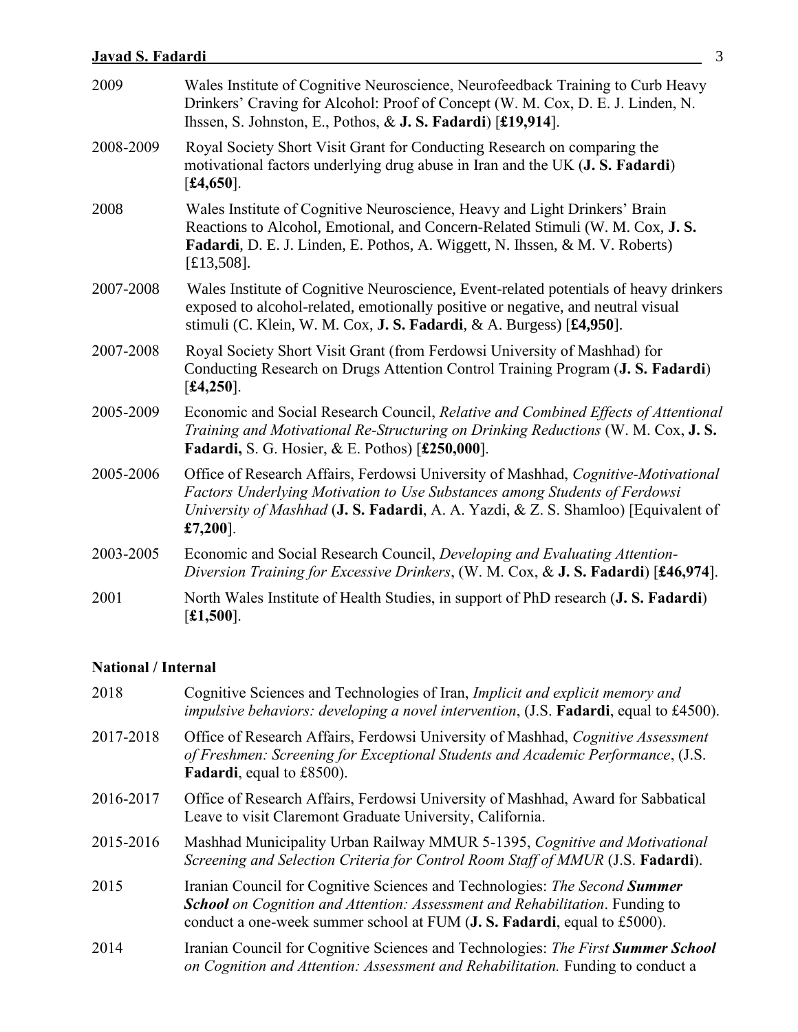| 2009      | Wales Institute of Cognitive Neuroscience, Neurofeedback Training to Curb Heavy<br>Drinkers' Craving for Alcohol: Proof of Concept (W. M. Cox, D. E. J. Linden, N.<br>Ihssen, S. Johnston, E., Pothos, & J. S. Fadardi) [£19,914].                                 |  |  |  |
|-----------|--------------------------------------------------------------------------------------------------------------------------------------------------------------------------------------------------------------------------------------------------------------------|--|--|--|
| 2008-2009 | Royal Society Short Visit Grant for Conducting Research on comparing the<br>motivational factors underlying drug abuse in Iran and the UK (J. S. Fadardi)<br>[£4,650].                                                                                             |  |  |  |
| 2008      | Wales Institute of Cognitive Neuroscience, Heavy and Light Drinkers' Brain<br>Reactions to Alcohol, Emotional, and Concern-Related Stimuli (W. M. Cox, J. S.<br>Fadardi, D. E. J. Linden, E. Pothos, A. Wiggett, N. Ihssen, & M. V. Roberts)<br>$[£13,508]$ .      |  |  |  |
| 2007-2008 | Wales Institute of Cognitive Neuroscience, Event-related potentials of heavy drinkers<br>exposed to alcohol-related, emotionally positive or negative, and neutral visual<br>stimuli (C. Klein, W. M. Cox, <b>J. S. Fadardi</b> , & A. Burgess) [£4,950].          |  |  |  |
| 2007-2008 | Royal Society Short Visit Grant (from Ferdowsi University of Mashhad) for<br>Conducting Research on Drugs Attention Control Training Program (J. S. Fadardi)<br>[£4,250].                                                                                          |  |  |  |
| 2005-2009 | Economic and Social Research Council, Relative and Combined Effects of Attentional<br>Training and Motivational Re-Structuring on Drinking Reductions (W. M. Cox, J. S.<br><b>Fadardi, S. G. Hosier, &amp; E. Pothos) [£250,000].</b>                              |  |  |  |
| 2005-2006 | Office of Research Affairs, Ferdowsi University of Mashhad, Cognitive-Motivational<br>Factors Underlying Motivation to Use Substances among Students of Ferdowsi<br>University of Mashhad (J. S. Fadardi, A. A. Yazdi, & Z. S. Shamloo) [Equivalent of<br>£7,200]. |  |  |  |
| 2003-2005 | Economic and Social Research Council, Developing and Evaluating Attention-<br>Diversion Training for Excessive Drinkers, (W. M. Cox, & J. S. Fadardi) [£46,974].                                                                                                   |  |  |  |
| 2001      | North Wales Institute of Health Studies, in support of PhD research (J. S. Fadardi)<br>[£1,500].                                                                                                                                                                   |  |  |  |

# **National / Internal**

| 2018      | Cognitive Sciences and Technologies of Iran, <i>Implicit and explicit memory and</i><br><i>impulsive behaviors: developing a novel intervention</i> , (J.S. Fadardi, equal to £4500).                                                                |  |  |
|-----------|------------------------------------------------------------------------------------------------------------------------------------------------------------------------------------------------------------------------------------------------------|--|--|
| 2017-2018 | Office of Research Affairs, Ferdowsi University of Mashhad, Cognitive Assessment<br>of Freshmen: Screening for Exceptional Students and Academic Performance, (J.S.<br>Fadardi, equal to £8500).                                                     |  |  |
| 2016-2017 | Office of Research Affairs, Ferdowsi University of Mashhad, Award for Sabbatical<br>Leave to visit Claremont Graduate University, California.                                                                                                        |  |  |
| 2015-2016 | Mashhad Municipality Urban Railway MMUR 5-1395, Cognitive and Motivational<br>Screening and Selection Criteria for Control Room Staff of MMUR (J.S. Fadardi).                                                                                        |  |  |
| 2015      | Iranian Council for Cognitive Sciences and Technologies: The Second <b>Summer</b><br><b>School</b> on Cognition and Attention: Assessment and Rehabilitation. Funding to<br>conduct a one-week summer school at FUM (J. S. Fadardi, equal to £5000). |  |  |
| 2014      | Iranian Council for Cognitive Sciences and Technologies: The First Summer School<br>on Cognition and Attention: Assessment and Rehabilitation. Funding to conduct a                                                                                  |  |  |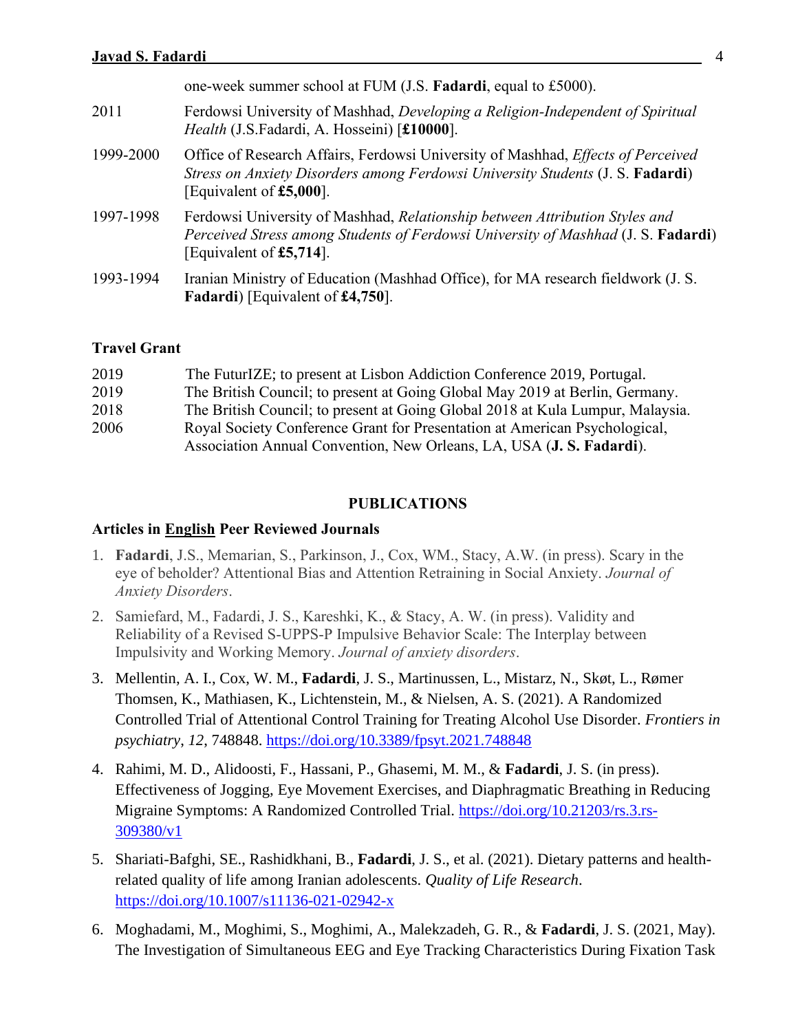|           | one-week summer school at FUM (J.S. Fadardi, equal to £5000).                                                                                                                                        |  |  |
|-----------|------------------------------------------------------------------------------------------------------------------------------------------------------------------------------------------------------|--|--|
| 2011      | Ferdowsi University of Mashhad, Developing a Religion-Independent of Spiritual<br>Health (J.S.Fadardi, A. Hosseini) [£10000].                                                                        |  |  |
| 1999-2000 | Office of Research Affairs, Ferdowsi University of Mashhad, <i>Effects of Perceived</i><br>Stress on Anxiety Disorders among Ferdowsi University Students (J. S. Fadardi)<br>[Equivalent of £5,000]. |  |  |
| 1997-1998 | Ferdowsi University of Mashhad, Relationship between Attribution Styles and<br>Perceived Stress among Students of Ferdowsi University of Mashhad (J. S. Fadardi)<br>[Equivalent of £5,714].          |  |  |
| 1993-1994 | Iranian Ministry of Education (Mashhad Office), for MA research fieldwork (J. S.<br><b>Fadardi</b> ) [Equivalent of £4,750].                                                                         |  |  |

### **Travel Grant**

| 2019 | The FuturIZE; to present at Lisbon Addiction Conference 2019, Portugal.        |
|------|--------------------------------------------------------------------------------|
| 2019 | The British Council; to present at Going Global May 2019 at Berlin, Germany.   |
| 2018 | The British Council; to present at Going Global 2018 at Kula Lumpur, Malaysia. |
| 2006 | Royal Society Conference Grant for Presentation at American Psychological,     |
|      | Association Annual Convention, New Orleans, LA, USA (J. S. Fadardi).           |

#### **PUBLICATIONS**

#### **Articles in English Peer Reviewed Journals**

- 1. **Fadardi**, J.S., Memarian, S., Parkinson, J., Cox, WM., Stacy, A.W. (in press). Scary in the eye of beholder? Attentional Bias and Attention Retraining in Social Anxiety. *Journal of Anxiety Disorders*.
- 2. Samiefard, M., Fadardi, J. S., Kareshki, K., & Stacy, A. W. (in press). Validity and Reliability of a Revised S-UPPS-P Impulsive Behavior Scale: The Interplay between Impulsivity and Working Memory. *Journal of anxiety disorders*.
- 3. Mellentin, A. I., Cox, W. M., **Fadardi**, J. S., Martinussen, L., Mistarz, N., Skøt, L., Rømer Thomsen, K., Mathiasen, K., Lichtenstein, M., & Nielsen, A. S. (2021). A Randomized Controlled Trial of Attentional Control Training for Treating Alcohol Use Disorder. *Frontiers in psychiatry*, *12*, 748848.<https://doi.org/10.3389/fpsyt.2021.748848>
- 4. Rahimi, M. D., Alidoosti, F., Hassani, P., Ghasemi, M. M., & **Fadardi**, J. S. (in press). Effectiveness of Jogging, Eye Movement Exercises, and Diaphragmatic Breathing in Reducing Migraine Symptoms: A Randomized Controlled Trial. [https://doi.org/10.21203/rs.3.rs-](https://doi.org/10.21203/rs.3.rs-309380/v1)[309380/v1](https://doi.org/10.21203/rs.3.rs-309380/v1)
- 5. Shariati-Bafghi, SE., Rashidkhani, B., **Fadardi**, J. S., et al. (2021). Dietary patterns and healthrelated quality of life among Iranian adolescents. *Quality of Life Research*. <https://doi.org/10.1007/s11136-021-02942-x>
- 6. Moghadami, M., Moghimi, S., Moghimi, A., Malekzadeh, G. R., & **Fadardi**, J. S. (2021, May). The Investigation of Simultaneous EEG and Eye Tracking Characteristics During Fixation Task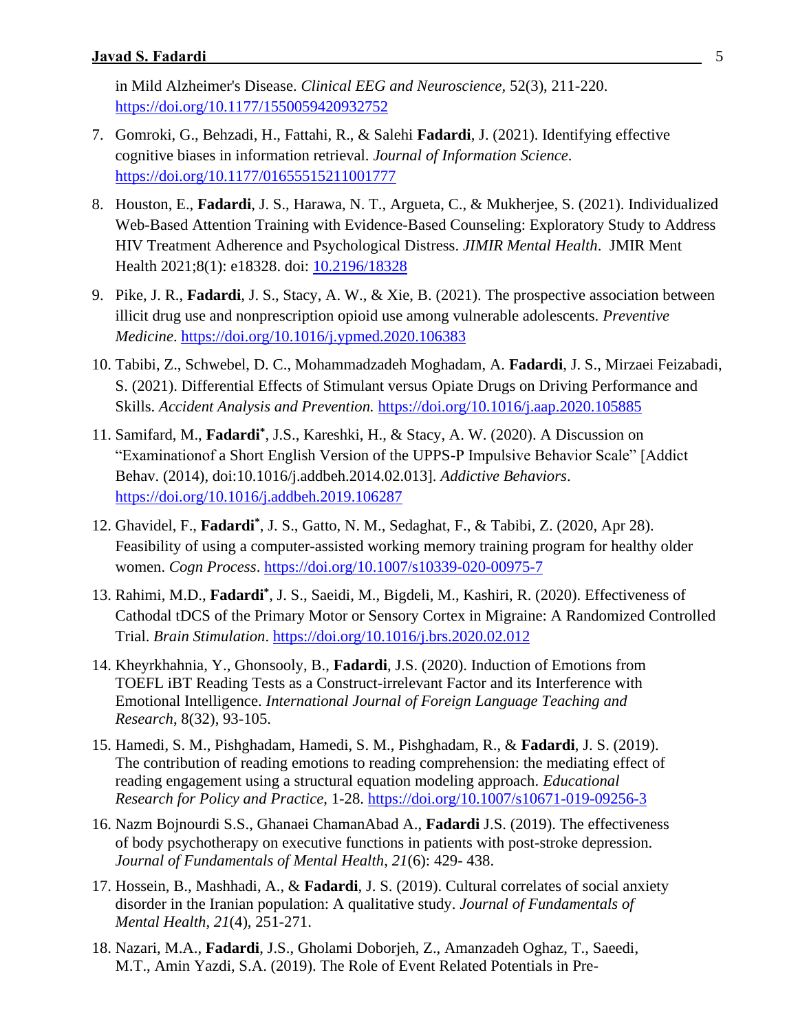in Mild Alzheimer's Disease. *Clinical EEG and Neuroscience,* 52(3), 211-220. <https://doi.org/10.1177/1550059420932752>

- 7. Gomroki, G., Behzadi, H., Fattahi, R., & Salehi **Fadardi**, J. (2021). Identifying effective cognitive biases in information retrieval. *Journal of Information Science*. <https://doi.org/10.1177/01655515211001777>
- 8. Houston, E., **Fadardi**, J. S., Harawa, N. T., Argueta, C., & Mukherjee, S. (2021). Individualized Web-Based Attention Training with Evidence-Based Counseling: Exploratory Study to Address HIV Treatment Adherence and Psychological Distress. *JIMIR Mental Health*. JMIR Ment Health 2021;8(1): e18328. doi: [10.2196/18328](https://doi.org/10.2196/18328)
- 9. Pike, J. R., **Fadardi**, J. S., Stacy, A. W., & Xie, B. (2021). The prospective association between illicit drug use and nonprescription opioid use among vulnerable adolescents. *Preventive Medicine*.<https://doi.org/10.1016/j.ypmed.2020.106383>
- 10. Tabibi, Z., Schwebel, D. C., Mohammadzadeh Moghadam, A. **Fadardi**, J. S., Mirzaei Feizabadi, S. (2021). Differential Effects of Stimulant versus Opiate Drugs on Driving Performance and Skills. *Accident Analysis and Prevention.* <https://doi.org/10.1016/j.aap.2020.105885>
- 11. Samifard, M., **Fadardi\*** , J.S., Kareshki, H., & Stacy, A. W. (2020). A Discussion on "Examinationof a Short English Version of the UPPS-P Impulsive Behavior Scale" [Addict Behav. (2014), doi:10.1016/j.addbeh.2014.02.013]. *Addictive Behaviors*. <https://doi.org/10.1016/j.addbeh.2019.106287>
- 12. Ghavidel, F., **Fadardi\*** , J. S., Gatto, N. M., Sedaghat, F., & Tabibi, Z. (2020, Apr 28). Feasibility of using a computer-assisted working memory training program for healthy older women. *Cogn Process*.<https://doi.org/10.1007/s10339-020-00975-7>
- 13. Rahimi, M.D., **Fadardi\*** , J. S., Saeidi, M., Bigdeli, M., Kashiri, R. (2020). Effectiveness of Cathodal tDCS of the Primary Motor or Sensory Cortex in Migraine: A Randomized Controlled Trial. *Brain Stimulation*.<https://doi.org/10.1016/j.brs.2020.02.012>
- 14. Kheyrkhahnia, Y., Ghonsooly, B., **Fadardi**, J.S. (2020). Induction of Emotions from TOEFL iBT Reading Tests as a Construct-irrelevant Factor and its Interference with Emotional Intelligence. *International Journal of Foreign Language Teaching and Research*, 8(32), 93-105.
- 15. Hamedi, S. M., Pishghadam, Hamedi, S. M., Pishghadam, R., & **Fadardi**, J. S. (2019). The contribution of reading emotions to reading comprehension: the mediating effect of reading engagement using a structural equation modeling approach. *Educational Research for Policy and Practice*, 1-28.<https://doi.org/10.1007/s10671-019-09256-3>
- 16. Nazm Bojnourdi S.S., Ghanaei ChamanAbad A., **Fadardi** J.S. (2019). The effectiveness of body psychotherapy on executive functions in patients with post-stroke depression. *Journal of Fundamentals of Mental Health*, *21*(6): 429- 438.
- 17. Hossein, B., Mashhadi, A., & **Fadardi**, J. S. (2019). Cultural correlates of social anxiety disorder in the Iranian population: A qualitative study. *Journal of Fundamentals of Mental Health*, *21*(4), 251-271.
- 18. Nazari, M.A., **Fadardi**, J.S., Gholami Doborjeh, Z., Amanzadeh Oghaz, T., Saeedi, M.T., Amin Yazdi, S.A. (2019). The Role of Event Related Potentials in Pre-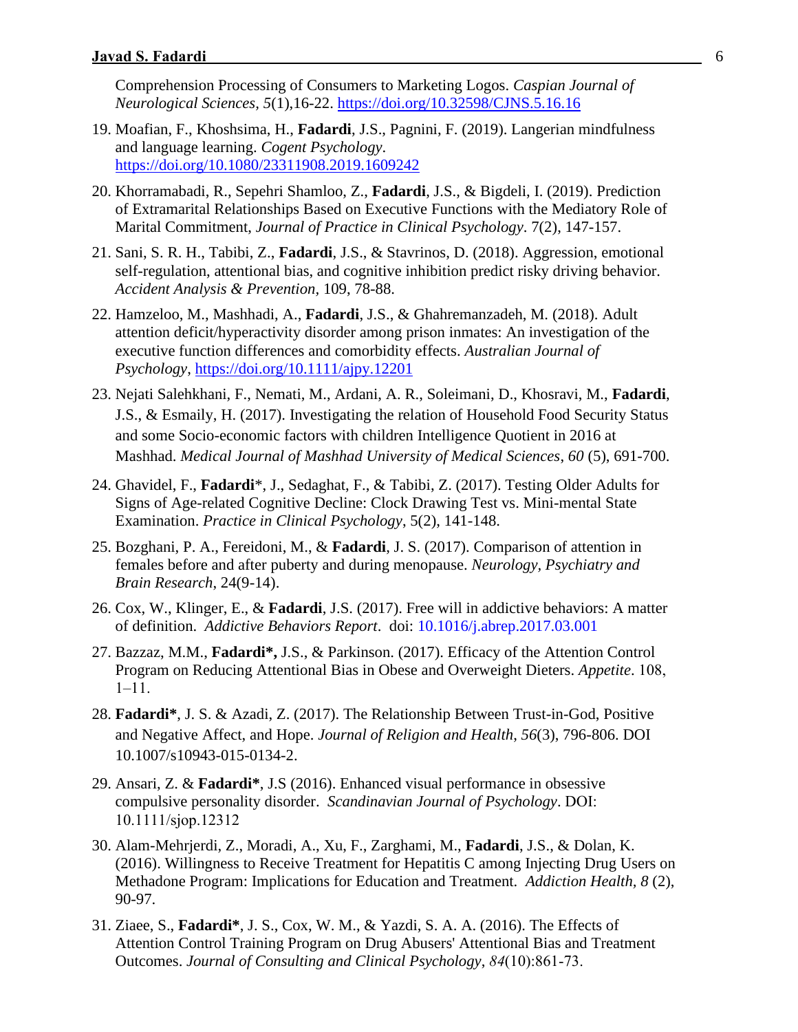Comprehension Processing of Consumers to Marketing Logos. *Caspian Journal of Neurological Sciences, 5*(1),16-22.<https://doi.org/10.32598/CJNS.5.16.16>

- 19. Moafian, F., Khoshsima, H., **Fadardi**, J.S., Pagnini, F. (2019). Langerian mindfulness and language learning. *Cogent Psychology*. <https://doi.org/10.1080/23311908.2019.1609242>
- 20. Khorramabadi, R., Sepehri Shamloo, Z., **Fadardi**, J.S., & Bigdeli, I. (2019). Prediction of Extramarital Relationships Based on Executive Functions with the Mediatory Role of Marital Commitment, *Journal of Practice in Clinical Psychology*. 7(2), 147-157.
- 21. Sani, S. R. H., Tabibi, Z., **Fadardi**, J.S., & Stavrinos, D. (2018). Aggression, emotional self-regulation, attentional bias, and cognitive inhibition predict risky driving behavior. *Accident Analysis & Prevention,* 109, 78-88.
- 22. Hamzeloo, M., Mashhadi, A., **Fadardi**, J.S., & Ghahremanzadeh, M. (2018). Adult attention deficit/hyperactivity disorder among prison inmates: An investigation of the executive function differences and comorbidity effects. *Australian Journal of Psychology*,<https://doi.org/10.1111/ajpy.12201>
- 23. Nejati Salehkhani, F., Nemati, M., Ardani, A. R., Soleimani, D., Khosravi, M., **Fadardi**, J.S., & Esmaily, H. (2017). Investigating the relation of Household Food Security Status and some Socio-economic factors with children Intelligence Quotient in 2016 at Mashhad. *Medical Journal of Mashhad University of Medical Sciences*, *60* (5), 691-700.
- 24. Ghavidel, F., **Fadardi**\*, J., Sedaghat, F., & Tabibi, Z. (2017). Testing Older Adults for Signs of Age-related Cognitive Decline: Clock Drawing Test vs. Mini-mental State Examination. *Practice in Clinical Psychology*, 5(2), 141-148.
- 25. Bozghani, P. A., Fereidoni, M., & **Fadardi**, J. S. (2017). Comparison of attention in females before and after puberty and during menopause. *Neurology, Psychiatry and Brain Research*, 24(9-14).
- 26. Cox, W., Klinger, E., & **Fadardi**, J.S. (2017). Free will in addictive behaviors: A matter of definition. *Addictive Behaviors Report*. doi: 10.1016/j.abrep.2017.03.001
- 27. Bazzaz, M.M., **Fadardi\*,** J.S., & Parkinson. (2017). Efficacy of the Attention Control Program on Reducing Attentional Bias in Obese and Overweight Dieters. *Appetite*. 108, 1–11.
- 28. **Fadardi\***, J. S. & Azadi, Z. (2017). The Relationship Between Trust-in-God, Positive and Negative Affect, and Hope. *Journal of Religion and Health*, *56*(3), 796-806. DOI 10.1007/s10943-015-0134-2.
- 29. Ansari, Z. & **Fadardi\***, J.S (2016). Enhanced visual performance in obsessive compulsive personality disorder. *Scandinavian Journal of Psychology*. DOI: 10.1111/sjop.12312
- 30. Alam-Mehrjerdi, Z., Moradi, A., Xu, F., Zarghami, M., **Fadardi**, J.S., & Dolan, K. (2016). Willingness to Receive Treatment for Hepatitis C among Injecting Drug Users on Methadone Program: Implications for Education and Treatment. *Addiction Health, 8* (2), 90-97.
- 31. Ziaee, S., **Fadardi\***, J. S., Cox, W. M., & Yazdi, S. A. A. (2016). The Effects of Attention Control Training Program on Drug Abusers' Attentional Bias and Treatment Outcomes. *Journal of Consulting and Clinical Psychology*, *84*(10):861-73.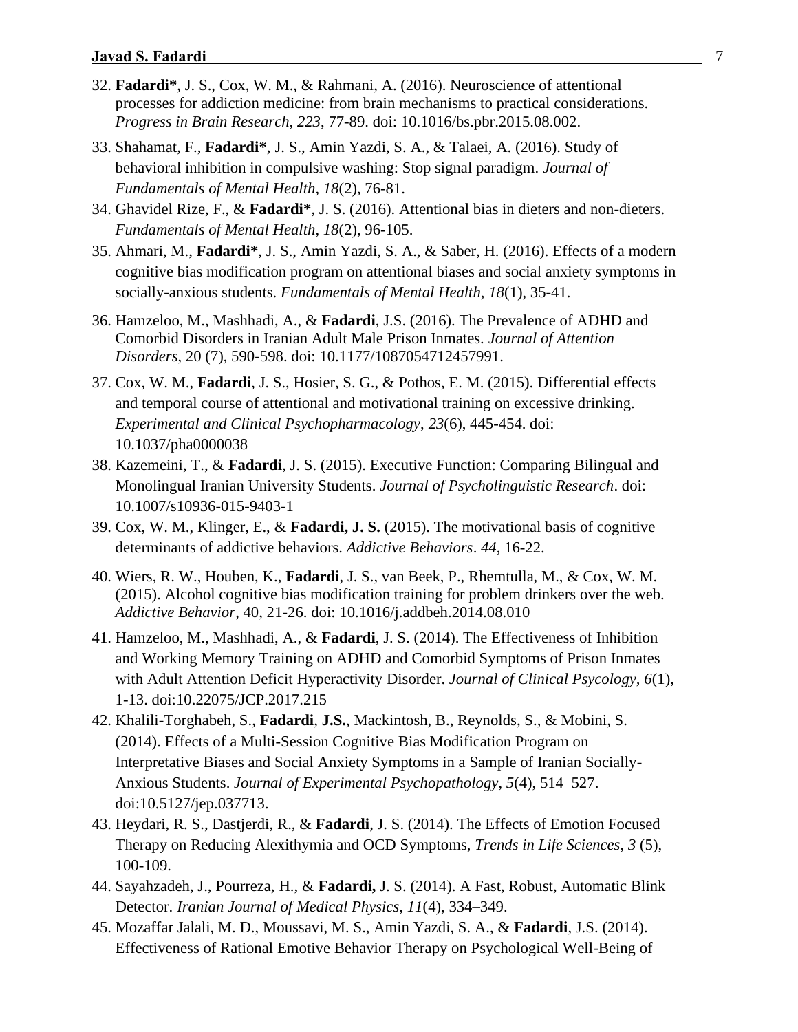- 32. **Fadardi\***, J. S., Cox, W. M., & Rahmani, A. (2016). Neuroscience of attentional processes for addiction medicine: from brain mechanisms to practical considerations. *Progress in Brain Research, 223*, 77-89. doi: 10.1016/bs.pbr.2015.08.002.
- 33. Shahamat, F., **Fadardi\***, J. S., Amin Yazdi, S. A., & Talaei, A. (2016). Study of behavioral inhibition in compulsive washing: Stop signal paradigm. *Journal of Fundamentals of Mental Health, 18*(2), 76-81.
- 34. Ghavidel Rize, F., & **Fadardi\***, J. S. (2016). Attentional bias in dieters and non-dieters. *Fundamentals of Mental Health, 18*(2), 96-105.
- 35. Ahmari, M., **Fadardi\***, J. S., Amin Yazdi, S. A., & Saber, H. (2016). Effects of a modern cognitive bias modification program on attentional biases and social anxiety symptoms in socially-anxious students. *Fundamentals of Mental Health, 18*(1), 35-41.
- 36. Hamzeloo, M., Mashhadi, A., & **Fadardi**, J.S. (2016). The Prevalence of ADHD and Comorbid Disorders in Iranian Adult Male Prison Inmates. *Journal of Attention Disorders*, 20 (7), 590-598. doi: 10.1177/1087054712457991.
- 37. Cox, W. M., **Fadardi**, J. S., Hosier, S. G., & Pothos, E. M. (2015). Differential effects and temporal course of attentional and motivational training on excessive drinking. *Experimental and Clinical Psychopharmacology*, *23*(6), 445-454. doi: 10.1037/pha0000038
- 38. Kazemeini, T., & **Fadardi**, J. S. (2015). Executive Function: Comparing Bilingual and Monolingual Iranian University Students. *Journal of Psycholinguistic Research*. doi: 10.1007/s10936-015-9403-1
- 39. Cox, W. M., Klinger, E., & **Fadardi, J. S.** (2015). The motivational basis of cognitive determinants of addictive behaviors. *Addictive Behaviors*. *44*, 16-22.
- 40. Wiers, R. W., Houben, K., **Fadardi**, J. S., van Beek, P., Rhemtulla, M., & Cox, W. M. (2015). Alcohol cognitive bias modification training for problem drinkers over the web. *Addictive Behavior*, 40, 21-26. doi: 10.1016/j.addbeh.2014.08.010
- 41. Hamzeloo, M., Mashhadi, A., & **Fadardi**, J. S. (2014). The Effectiveness of Inhibition and Working Memory Training on ADHD and Comorbid Symptoms of Prison Inmates with Adult Attention Deficit Hyperactivity Disorder. *Journal of Clinical Psycology, 6*(1), 1-13. doi:10.22075/JCP.2017.215
- 42. Khalili-Torghabeh, S., **Fadardi**, **J.S.**, Mackintosh, B., Reynolds, S., & Mobini, S. (2014). Effects of a Multi-Session Cognitive Bias Modification Program on Interpretative Biases and Social Anxiety Symptoms in a Sample of Iranian Socially-Anxious Students. *Journal of Experimental Psychopathology*, *5*(4), 514–527. doi:10.5127/jep.037713.
- 43. Heydari, R. S., Dastjerdi, R., & **Fadardi**, J. S. (2014). The Effects of Emotion Focused Therapy on Reducing Alexithymia and OCD Symptoms, *Trends in Life Sciences*, *3* (5), 100-109.
- 44. Sayahzadeh, J., Pourreza, H., & **Fadardi,** J. S. (2014). A Fast, Robust, Automatic Blink Detector. *Iranian Journal of Medical Physics*, *11*(4), 334–349.
- 45. Mozaffar Jalali, M. D., Moussavi, M. S., Amin Yazdi, S. A., & **Fadardi**, J.S. (2014). Effectiveness of Rational Emotive Behavior Therapy on Psychological Well-Being of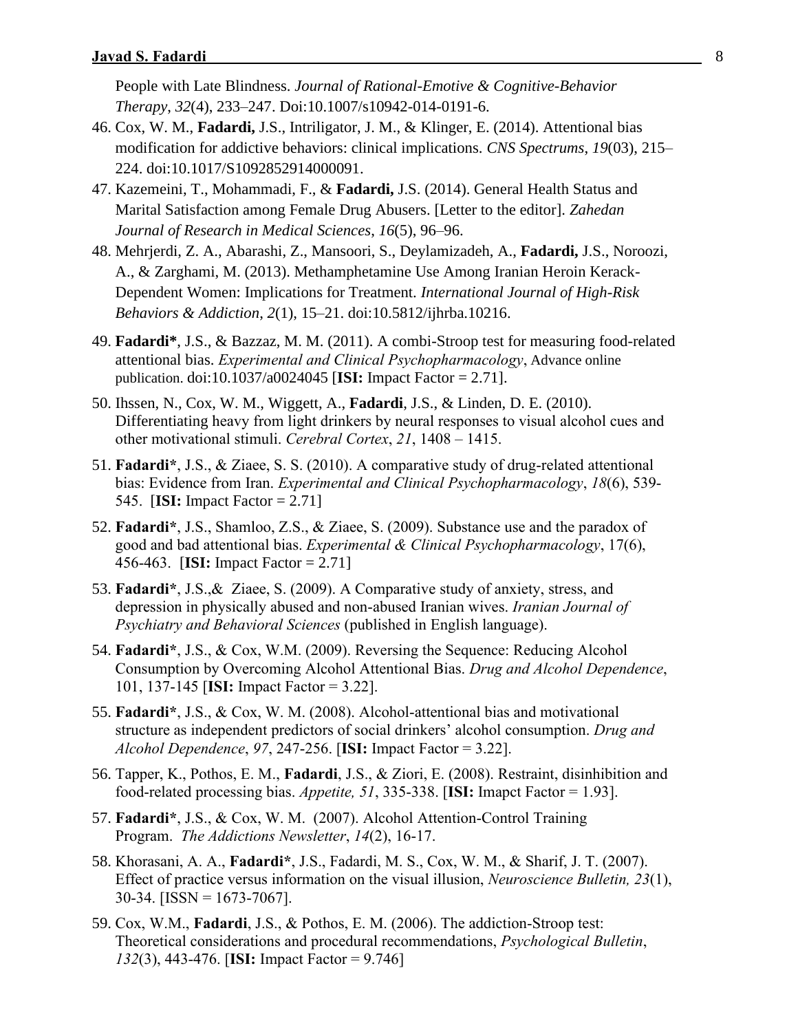People with Late Blindness. *Journal of Rational-Emotive & Cognitive-Behavior Therapy*, *32*(4), 233–247. Doi:10.1007/s10942-014-0191-6.

- 46. Cox, W. M., **Fadardi,** J.S., Intriligator, J. M., & Klinger, E. (2014). Attentional bias modification for addictive behaviors: clinical implications. *CNS Spectrums*, *19*(03), 215– 224. doi:10.1017/S1092852914000091.
- 47. Kazemeini, T., Mohammadi, F., & **Fadardi,** J.S. (2014). General Health Status and Marital Satisfaction among Female Drug Abusers. [Letter to the editor]. *Zahedan Journal of Research in Medical Sciences*, *16*(5), 96–96.
- 48. Mehrjerdi, Z. A., Abarashi, Z., Mansoori, S., Deylamizadeh, A., **Fadardi,** J.S., Noroozi, A., & Zarghami, M. (2013). Methamphetamine Use Among Iranian Heroin Kerack-Dependent Women: Implications for Treatment. *International Journal of High-Risk Behaviors & Addiction*, *2*(1), 15–21. doi:10.5812/ijhrba.10216.
- 49. **Fadardi\***, J.S., & Bazzaz, M. M. (2011). A combi-Stroop test for measuring food-related attentional bias. *Experimental and Clinical Psychopharmacology*, Advance online publication. doi:10.1037/a0024045 [**ISI:** Impact Factor = 2.71].
- 50. Ihssen, N., Cox, W. M., Wiggett, A., **Fadardi**, J.S., & Linden, D. E. (2010). Differentiating heavy from light drinkers by neural responses to visual alcohol cues and other motivational stimuli. *Cerebral Cortex*, *21*, 1408 – 1415.
- 51. **Fadardi\***, J.S., & Ziaee, S. S. (2010). A comparative study of drug-related attentional bias: Evidence from Iran. *Experimental and Clinical Psychopharmacology*, *18*(6), 539- 545. [**ISI:** Impact Factor = 2.71]
- 52. **Fadardi\***, J.S., Shamloo, Z.S., & Ziaee, S. (2009). Substance use and the paradox of good and bad attentional bias. *Experimental & Clinical Psychopharmacology*, 17(6), 456-463. [**ISI:** Impact Factor = 2.71]
- 53. **Fadardi\***, J.S.,& Ziaee, S. (2009). A Comparative study of anxiety, stress, and depression in physically abused and non-abused Iranian wives. *Iranian Journal of Psychiatry and Behavioral Sciences* (published in English language).
- 54. **Fadardi\***, J.S., & Cox, W.M. (2009). Reversing the Sequence: Reducing Alcohol Consumption by Overcoming Alcohol Attentional Bias. *Drug and Alcohol Dependence*, 101, 137-145 [**ISI:** Impact Factor = 3.22].
- 55. **Fadardi\***, J.S., & Cox, W. M. (2008). Alcohol-attentional bias and motivational structure as independent predictors of social drinkers' alcohol consumption. *Drug and Alcohol Dependence*, *97*, 247-256. [**ISI:** Impact Factor = 3.22].
- 56. Tapper, K., Pothos, E. M., **Fadardi**, J.S., & Ziori, E. (2008). Restraint, disinhibition and food-related processing bias. *Appetite, 51*, 335-338. [**ISI:** Imapct Factor = 1.93].
- 57. **Fadardi\***, J.S., & Cox, W. M. (2007). Alcohol Attention-Control Training Program. *The Addictions Newsletter*, *14*(2), 16-17.
- 58. Khorasani, A. A., **Fadardi\***, J.S., Fadardi, M. S., Cox, W. M., & Sharif, J. T. (2007). Effect of practice versus information on the visual illusion, *Neuroscience Bulletin, 23*(1),  $30-34.$  [ISSN = 1673-7067].
- 59. Cox, W.M., **Fadardi**, J.S., & Pothos, E. M. (2006). The addiction-Stroop test: Theoretical considerations and procedural recommendations, *Psychological Bulletin*, *132*(3), 443-476. [**ISI:** Impact Factor = 9.746]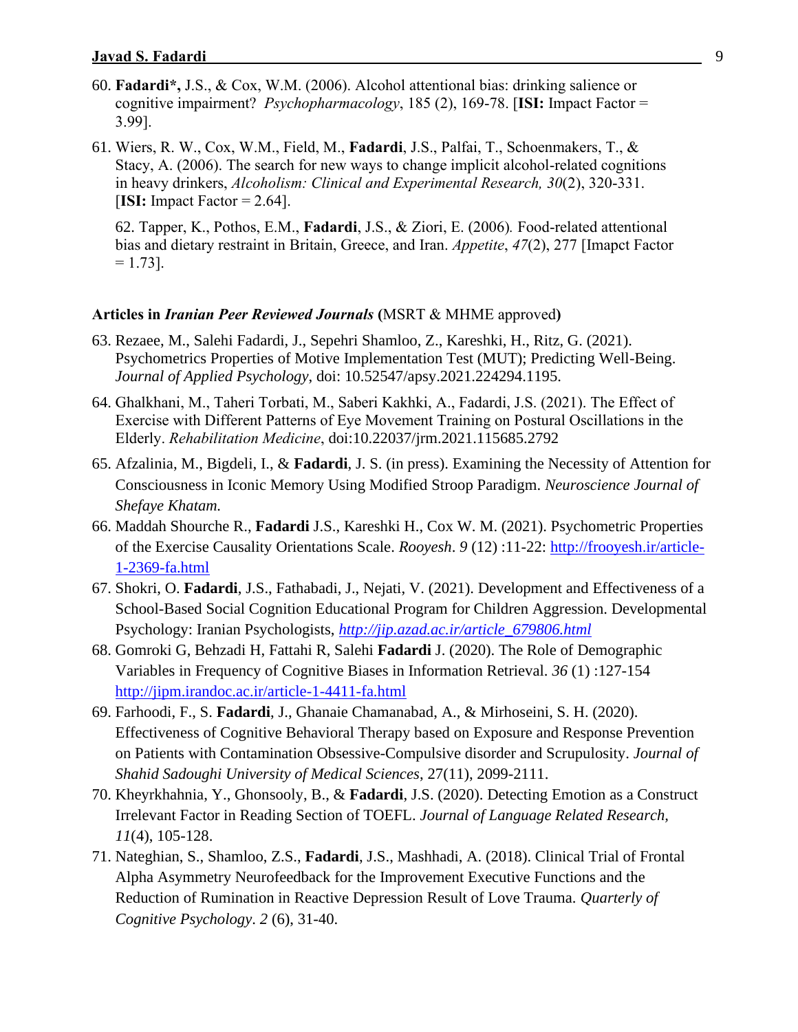- 60. **Fadardi\*,** J.S., & Cox, W.M. (2006). Alcohol attentional bias: drinking salience or cognitive impairment? *Psychopharmacology*, 185 (2), 169-78. [**ISI:** Impact Factor = 3.99].
- 61. Wiers, R. W., Cox, W.M., Field, M., **Fadardi**, J.S., Palfai, T., Schoenmakers, T., & Stacy, A. (2006). The search for new ways to change implicit alcohol-related cognitions in heavy drinkers, *Alcoholism: Clinical and Experimental Research, 30*(2), 320-331. [**ISI:** Impact Factor = 2.64].

62. Tapper, K., Pothos, E.M., **Fadardi**, J.S., & Ziori, E. (2006)*.* Food-related attentional bias and dietary restraint in Britain, Greece, and Iran. *Appetite*, *47*(2), 277 [Imapct Factor  $= 1.73$ ].

#### **Articles in** *Iranian Peer Reviewed Journals* **(**MSRT & MHME approved**)**

- 63. Rezaee, M., Salehi Fadardi, J., Sepehri Shamloo, Z., Kareshki, H., Ritz, G. (2021). Psychometrics Properties of Motive Implementation Test (MUT); Predicting Well-Being. *Journal of Applied Psychology*, doi: 10.52547/apsy.2021.224294.1195.
- 64. Ghalkhani, M., Taheri Torbati, M., Saberi Kakhki, A., Fadardi, J.S. (2021). The Effect of Exercise with Different Patterns of Eye Movement Training on Postural Oscillations in the Elderly. *Rehabilitation Medicine*, doi:10.22037/jrm.2021.115685.2792
- 65. Afzalinia, M., Bigdeli, I., & **Fadardi**, J. S. (in press). Examining the Necessity of Attention for Consciousness in Iconic Memory Using Modified Stroop Paradigm. *Neuroscience Journal of Shefaye Khatam.*
- 66. Maddah Shourche R., **Fadardi** J.S., Kareshki H., Cox W. M. (2021). Psychometric Properties of the Exercise Causality Orientations Scale. *Rooyesh*. *9* (12) :11-22: [http://frooyesh.ir/article-](http://frooyesh.ir/article-1-2369-fa.html)[1-2369-fa.html](http://frooyesh.ir/article-1-2369-fa.html)
- 67. Shokri, O. **Fadardi**, J.S., Fathabadi, J., Nejati, V. (2021). Development and Effectiveness of a School-Based Social Cognition Educational Program for Children Aggression. Developmental Psychology: Iranian Psychologists, *[http://jip.azad.ac.ir/article\\_679806.html](http://jip.azad.ac.ir/article_679806.html)*
- 68. Gomroki G, Behzadi H, Fattahi R, Salehi **Fadardi** J. (2020). The Role of Demographic Variables in Frequency of Cognitive Biases in Information Retrieval. *36* (1) :127-154 <http://jipm.irandoc.ac.ir/article-1-4411-fa.html>
- 69. Farhoodi, F., S. **Fadardi**, J., Ghanaie Chamanabad, A., & Mirhoseini, S. H. (2020). Effectiveness of Cognitive Behavioral Therapy based on Exposure and Response Prevention on Patients with Contamination Obsessive-Compulsive disorder and Scrupulosity. *Journal of Shahid Sadoughi University of Medical Sciences*, 27(11), 2099-2111.
- 70. Kheyrkhahnia, Y., Ghonsooly, B., & **Fadardi**, J.S. (2020). Detecting Emotion as a Construct Irrelevant Factor in Reading Section of TOEFL. *Journal of Language Related Research, 11*(4), 105-128.
- 71. Nateghian, S., Shamloo, Z.S., **Fadardi**, J.S., Mashhadi, A. (2018). Clinical Trial of Frontal Alpha Asymmetry Neurofeedback for the Improvement Executive Functions and the Reduction of Rumination in Reactive Depression Result of Love Trauma. *Quarterly of Cognitive Psychology*. *2* (6), 31-40.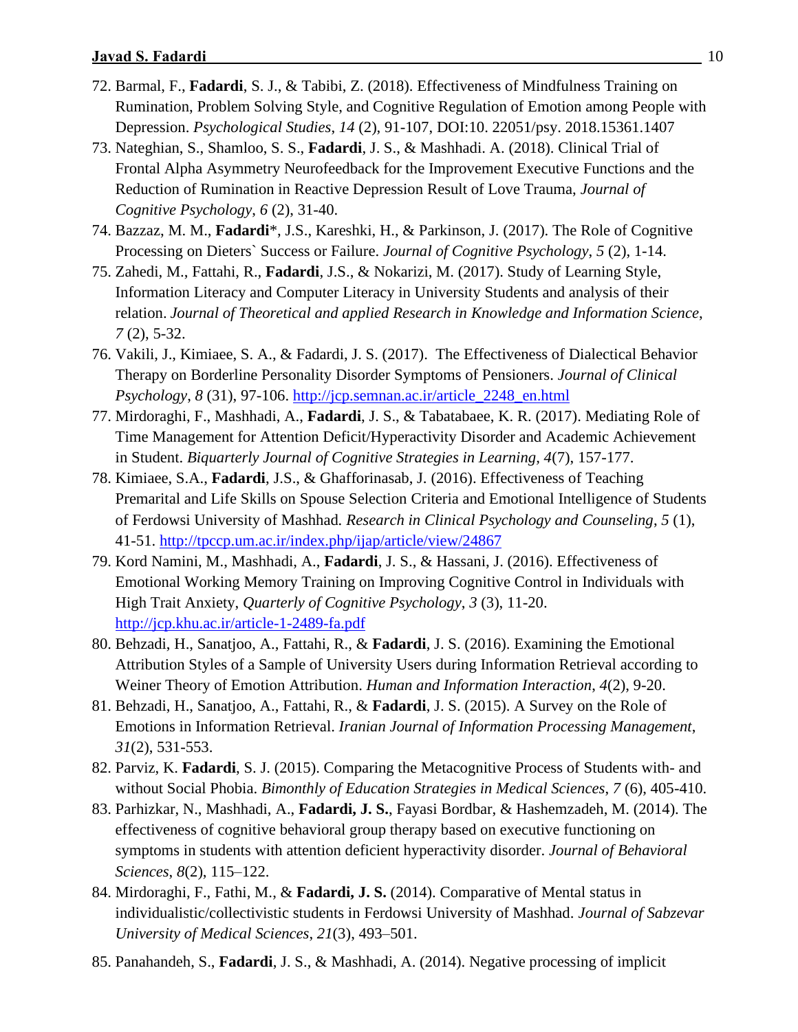- 72. Barmal, F., **Fadardi**, S. J., & Tabibi, Z. (2018). Effectiveness of Mindfulness Training on Rumination, Problem Solving Style, and Cognitive Regulation of Emotion among People with Depression. *Psychological Studies*, *14* (2), 91-107, DOI:10. 22051/psy. 2018.15361.1407
- 73. Nateghian, S., Shamloo, S. S., **Fadardi**, J. S., & Mashhadi. A. (2018). Clinical Trial of Frontal Alpha Asymmetry Neurofeedback for the Improvement Executive Functions and the Reduction of Rumination in Reactive Depression Result of Love Trauma, *Journal of Cognitive Psychology*, *6* (2), 31-40.
- 74. Bazzaz, M. M., **Fadardi**\*, J.S., Kareshki, H., & Parkinson, J. (2017). The Role of Cognitive Processing on Dieters` Success or Failure. *Journal of Cognitive Psychology*, *5* (2), 1-14.
- 75. Zahedi, M., Fattahi, R., **Fadardi**, J.S., & Nokarizi, M. (2017). Study of Learning Style, Information Literacy and Computer Literacy in University Students and analysis of their relation. *Journal of Theoretical and applied Research in Knowledge and Information Science*, *7* (2), 5-32.
- 76. Vakili, J., Kimiaee, S. A., & Fadardi, J. S. (2017). The Effectiveness of Dialectical Behavior Therapy on Borderline Personality Disorder Symptoms of Pensioners. *Journal of Clinical Psychology*, *8* (31), 97-106. [http://jcp.semnan.ac.ir/article\\_2248\\_en.html](http://jcp.semnan.ac.ir/article_2248_en.html)
- 77. Mirdoraghi, F., Mashhadi, A., **Fadardi**, J. S., & Tabatabaee, K. R. (2017). Mediating Role of Time Management for Attention Deficit/Hyperactivity Disorder and Academic Achievement in Student. *Biquarterly Journal of Cognitive Strategies in Learning, 4*(7), 157-177.
- 78. Kimiaee, S.A., **Fadardi**, J.S., & Ghafforinasab, J. (2016). Effectiveness of Teaching Premarital and Life Skills on Spouse Selection Criteria and Emotional Intelligence of Students of Ferdowsi University of Mashhad*. Research in Clinical Psychology and Counseling*, *5* (1), 41-51.<http://tpccp.um.ac.ir/index.php/ijap/article/view/24867>
- 79. Kord Namini, M., Mashhadi, A., **Fadardi**, J. S., & Hassani, J. (2016). Effectiveness of Emotional Working Memory Training on Improving Cognitive Control in Individuals with High Trait Anxiety, *Quarterly of Cognitive Psychology*, *3* (3), 11-20. <http://jcp.khu.ac.ir/article-1-2489-fa.pdf>
- 80. Behzadi, H., Sanatjoo, A., Fattahi, R., & **Fadardi**, J. S. (2016). Examining the Emotional Attribution Styles of a Sample of University Users during Information Retrieval according to Weiner Theory of Emotion Attribution. *Human and Information Interaction*, *4*(2), 9-20.
- 81. Behzadi, H., Sanatjoo, A., Fattahi, R., & **Fadardi**, J. S. (2015). A Survey on the Role of Emotions in Information Retrieval. *Iranian Journal of Information Processing Management*, *31*(2), 531-553.
- 82. Parviz, K. **Fadardi**, S. J. (2015). Comparing the Metacognitive Process of Students with- and without Social Phobia. *Bimonthly of Education Strategies in Medical Sciences*, *7* (6), 405-410.
- 83. Parhizkar, N., Mashhadi, A., **Fadardi, J. S.**, Fayasi Bordbar, & Hashemzadeh, M. (2014). The effectiveness of cognitive behavioral group therapy based on executive functioning on symptoms in students with attention deficient hyperactivity disorder. *Journal of Behavioral Sciences*, *8*(2), 115–122.
- 84. Mirdoraghi, F., Fathi, M., & **Fadardi, J. S.** (2014). Comparative of Mental status in individualistic/collectivistic students in Ferdowsi University of Mashhad. *Journal of Sabzevar University of Medical Sciences*, *21*(3), 493–501.
- 85. Panahandeh, S., **Fadardi**, J. S., & Mashhadi, A. (2014). Negative processing of implicit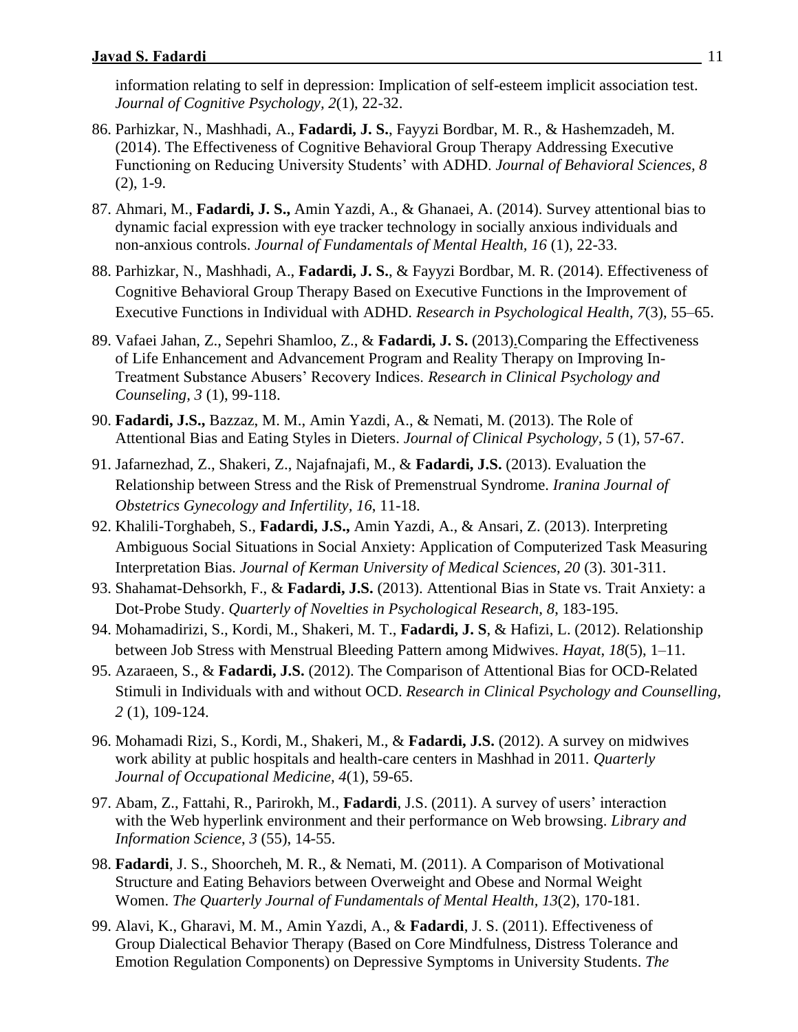information relating to self in depression: Implication of self-esteem implicit association test. *Journal of Cognitive Psychology, 2*(1), 22-32.

- 86. Parhizkar, N., Mashhadi, A., **Fadardi, J. S.**, Fayyzi Bordbar, M. R., & Hashemzadeh, M. (2014). The Effectiveness of Cognitive Behavioral Group Therapy Addressing Executive Functioning on Reducing University Students' with ADHD. *Journal of Behavioral Sciences, 8*  (2), 1-9.
- 87. Ahmari, M., **Fadardi, J. S.,** Amin Yazdi, A., & Ghanaei, A. (2014). Survey attentional bias to dynamic facial expression with eye tracker technology in socially anxious individuals and non-anxious controls. *Journal of Fundamentals of Mental Health, 16* (1), 22-33.
- 88. Parhizkar, N., Mashhadi, A., **Fadardi, J. S.**, & Fayyzi Bordbar, M. R. (2014). Effectiveness of Cognitive Behavioral Group Therapy Based on Executive Functions in the Improvement of Executive Functions in Individual with ADHD. *Research in Psychological Health*, *7*(3), 55–65.
- 89. Vafaei Jahan, [Z.,](http://jm.um.ac.ir/index.php/ijap/article/newAdvancedResults/view?firstName=zahra&lastName=vafaei%20jahan&id=17153) [Sepehri Shamloo, Z., &](http://jm.um.ac.ir/index.php/ijap/article/newAdvancedResults/view?firstName=zohre&lastName=sepehri%20shamloo&id=17155) **Fadardi, J. S.** (2013[\).C](http://jm.um.ac.ir/index.php/ijap/article/newAdvancedResults/view?firstName=javad&lastName=salehi%20fadardi&id=17154)omparing the Effectiveness of Life Enhancement and Advancement Program and Reality Therapy on Improving In-Treatment Substance Abusers' Recovery Indices. *Research in Clinical Psychology and Counseling, 3* (1), 99-118.
- 90. **Fadardi, J.S.,** Bazzaz, M. M., Amin Yazdi, A., & Nemati, M. (2013). The Role of Attentional Bias and Eating Styles in Dieters. *Journal of Clinical Psychology, 5* (1), 57-67.
- 91. Jafarnezhad, Z., Shakeri, Z., Najafnajafi, M., & **Fadardi, J.S.** (2013). Evaluation the Relationship between Stress and the Risk of Premenstrual Syndrome. *Iranina Journal of Obstetrics Gynecology and Infertility, 16*, 11-18.
- 92. Khalili-Torghabeh, S., **Fadardi, J.S.,** Amin Yazdi, A., & Ansari, Z. (2013). Interpreting Ambiguous Social Situations in Social Anxiety: Application of Computerized Task Measuring Interpretation Bias. *Journal of Kerman University of Medical Sciences, 20* (3). 301-311.
- 93. Shahamat-Dehsorkh, F., & **Fadardi, J.S.** (2013). Attentional Bias in State vs. Trait Anxiety: a Dot-Probe Study. *Quarterly of Novelties in Psychological Research, 8*, 183-195.
- 94. Mohamadirizi, S., Kordi, M., Shakeri, M. T., **Fadardi, J. S**, & Hafizi, L. (2012). Relationship between Job Stress with Menstrual Bleeding Pattern among Midwives. *Hayat*, *18*(5), 1–11.
- 95. Azaraeen, S., & **Fadardi, J.S.** (2012). The Comparison of Attentional Bias for OCD-Related Stimuli in Individuals with and without OCD. *Research in Clinical Psychology and Counselling, 2* (1), 109-124.
- 96. Mohamadi Rizi, S., Kordi, M., Shakeri, M., & **Fadardi, J.S.** (2012). A survey on midwives work ability at public hospitals and health-care centers in Mashhad in 2011. *Quarterly Journal of Occupational Medicine, 4*(1), 59-65.
- 97. Abam, Z., Fattahi, R., Parirokh, M., **Fadardi**, J.S. (2011). A survey of users' interaction with the Web hyperlink environment and their performance on Web browsing. *Library and Information Science*, *3* (55), 14-55.
- 98. **Fadardi**, J. S., Shoorcheh, M. R., & Nemati, M. (2011). A Comparison of Motivational Structure and Eating Behaviors between Overweight and Obese and Normal Weight Women. *The Quarterly Journal of Fundamentals of Mental Health, 13*(2), 170-181.
- 99. Alavi, K., Gharavi, M. M., Amin Yazdi, A., & **Fadardi**, J. S. (2011). Effectiveness of Group Dialectical Behavior Therapy (Based on Core Mindfulness, Distress Tolerance and Emotion Regulation Components) on Depressive Symptoms in University Students. *The*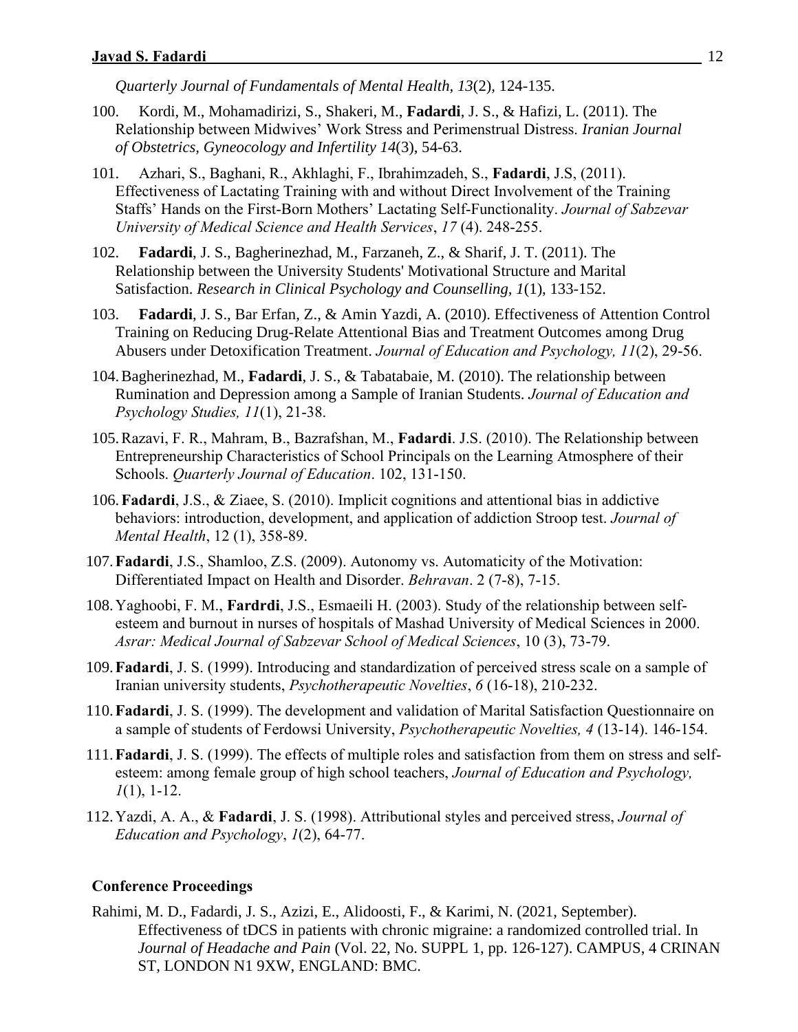*Quarterly Journal of Fundamentals of Mental Health, 13*(2), 124-135.

- 100. Kordi, M., Mohamadirizi, S., Shakeri, M., **Fadardi**, J. S., & Hafizi, L. (2011). The Relationship between Midwives' Work Stress and Perimenstrual Distress. *Iranian Journal of Obstetrics, Gyneocology and Infertility 14*(3), 54-63.
- 101. Azhari, S., Baghani, R., Akhlaghi, F., Ibrahimzadeh, S., **Fadardi**, J.S, (2011). Effectiveness of Lactating Training with and without Direct Involvement of the Training Staffs' Hands on the First-Born Mothers' Lactating Self-Functionality. *Journal of Sabzevar University of Medical Science and Health Services*, *17* (4). 248-255.
- 102. **Fadardi**, J. S., Bagherinezhad, M., Farzaneh, Z., & Sharif, J. T. (2011). The Relationship between the University Students' Motivational Structure and Marital Satisfaction. *Research in Clinical Psychology and Counselling, 1*(1), 133-152.
- 103. **Fadardi**, J. S., Bar Erfan, Z., & Amin Yazdi, A. (2010). Effectiveness of Attention Control Training on Reducing Drug-Relate Attentional Bias and Treatment Outcomes among Drug Abusers under Detoxification Treatment. *Journal of Education and Psychology, 11*(2), 29-56.
- 104.Bagherinezhad, M., **Fadardi**, J. S., & Tabatabaie, M. (2010). The relationship between Rumination and Depression among a Sample of Iranian Students. *Journal of Education and Psychology Studies, 11*(1), 21-38.
- 105.Razavi, F. R., Mahram, B., Bazrafshan, M., **Fadardi**. J.S. (2010). The Relationship between Entrepreneurship Characteristics of School Principals on the Learning Atmosphere of their Schools. *Quarterly Journal of Education*. 102, 131-150.
- 106.**Fadardi**, J.S., & Ziaee, S. (2010). Implicit cognitions and attentional bias in addictive behaviors: introduction, development, and application of addiction Stroop test. *Journal of Mental Health*, 12 (1), 358-89.
- 107.**Fadardi**, J.S., Shamloo, Z.S. (2009). Autonomy vs. Automaticity of the Motivation: Differentiated Impact on Health and Disorder. *Behravan*. 2 (7-8), 7-15.
- 108.Yaghoobi, F. M., **Fardrdi**, J.S., Esmaeili H. (2003). Study of the relationship between selfesteem and burnout in nurses of hospitals of Mashad University of Medical Sciences in 2000. *Asrar: Medical Journal of Sabzevar School of Medical Sciences*, 10 (3), 73-79.
- 109.**Fadardi**, J. S. (1999). Introducing and standardization of perceived stress scale on a sample of Iranian university students, *Psychotherapeutic Novelties*, *6* (16-18), 210-232.
- 110.**Fadardi**, J. S. (1999). The development and validation of Marital Satisfaction Questionnaire on a sample of students of Ferdowsi University, *Psychotherapeutic Novelties, 4* (13-14). 146-154.
- 111.**Fadardi**, J. S. (1999). The effects of multiple roles and satisfaction from them on stress and selfesteem: among female group of high school teachers, *Journal of Education and Psychology, 1*(1), 1-12.
- 112.Yazdi, A. A., & **Fadardi**, J. S. (1998). Attributional styles and perceived stress, *Journal of Education and Psychology*, *1*(2), 64-77.

#### **Conference Proceedings**

Rahimi, M. D., Fadardi, J. S., Azizi, E., Alidoosti, F., & Karimi, N. (2021, September). Effectiveness of tDCS in patients with chronic migraine: a randomized controlled trial. In *Journal of Headache and Pain* (Vol. 22, No. SUPPL 1, pp. 126-127). CAMPUS, 4 CRINAN ST, LONDON N1 9XW, ENGLAND: BMC.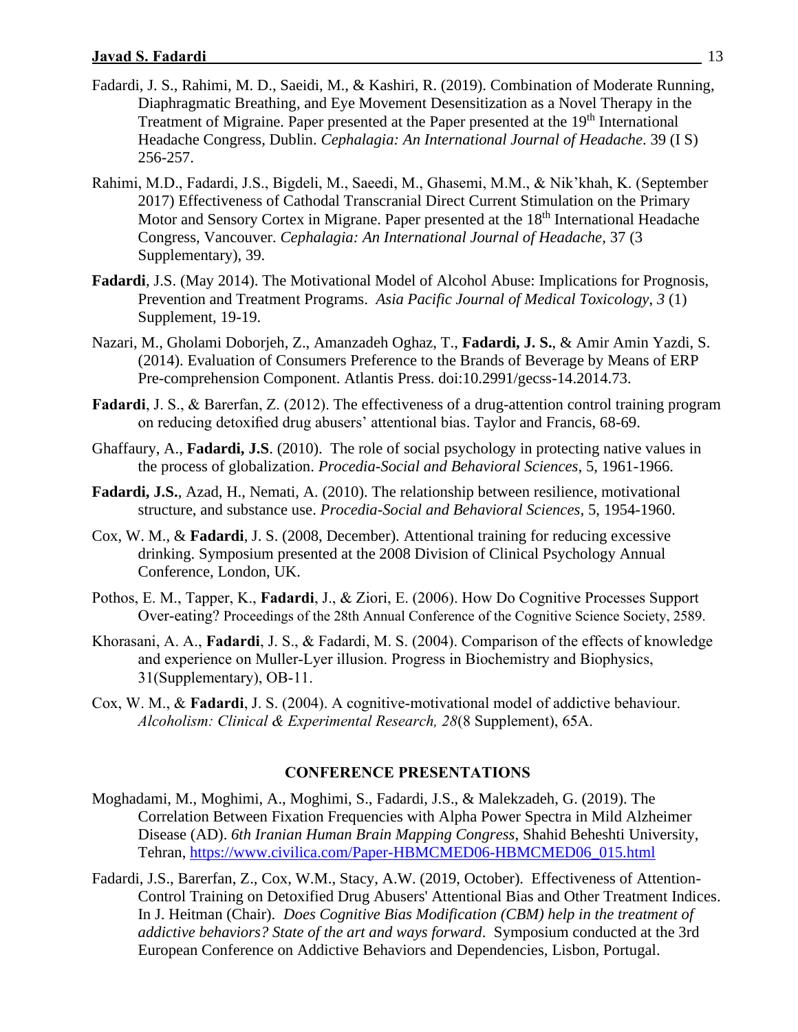- Fadardi, J. S., Rahimi, M. D., Saeidi, M., & Kashiri, R. (2019). Combination of Moderate Running, Diaphragmatic Breathing, and Eye Movement Desensitization as a Novel Therapy in the Treatment of Migraine. Paper presented at the Paper presented at the 19<sup>th</sup> International Headache Congress, Dublin. *Cephalagia: An International Journal of Headache*. 39 (I S) 256-257.
- Rahimi, M.D., Fadardi, J.S., Bigdeli, M., Saeedi, M., Ghasemi, M.M., & Nik'khah, K. (September 2017) Effectiveness of Cathodal Transcranial Direct Current Stimulation on the Primary Motor and Sensory Cortex in Migrane. Paper presented at the 18<sup>th</sup> International Headache Congress, Vancouver. *Cephalagia: An International Journal of Headache*, 37 (3 Supplementary), 39.
- **Fadardi**, J.S. (May 2014). The Motivational Model of Alcohol Abuse: Implications for Prognosis, Prevention and Treatment Programs. *Asia Pacific Journal of Medical Toxicology*, *3* (1) Supplement, 19-19.
- Nazari, M., Gholami Doborjeh, Z., Amanzadeh Oghaz, T., **Fadardi, J. S.**, & Amir Amin Yazdi, S. (2014). Evaluation of Consumers Preference to the Brands of Beverage by Means of ERP Pre-comprehension Component. Atlantis Press. doi:10.2991/gecss-14.2014.73.
- **Fadardi**, J. S., & Barerfan, Z. (2012). The effectiveness of a drug-attention control training program on reducing detoxified drug abusers' attentional bias. Taylor and Francis, 68-69.
- Ghaffaury, A., **Fadardi, J.S**. (2010). The role of social psychology in protecting native values in the process of globalization. *Procedia-Social and Behavioral Sciences*, 5, 1961-1966.
- **Fadardi, J.S.**, Azad, H., Nemati, A. (2010). The relationship between resilience, motivational structure, and substance use. *Procedia-Social and Behavioral Sciences*, 5, 1954-1960.
- Cox, W. M., & **Fadardi**, J. S. (2008, December). Attentional training for reducing excessive drinking. Symposium presented at the 2008 Division of Clinical Psychology Annual Conference, London, UK.
- Pothos, E. M., Tapper, K., **Fadardi**, J., & Ziori, E. (2006). How Do Cognitive Processes Support Over-eating? Proceedings of the 28th Annual Conference of the Cognitive Science Society, 2589.
- Khorasani, A. A., **Fadardi**, J. S., & Fadardi, M. S. (2004). Comparison of the effects of knowledge and experience on Muller-Lyer illusion. Progress in Biochemistry and Biophysics, 31(Supplementary), OB-11.
- Cox, W. M., & **Fadardi**, J. S. (2004). A cognitive-motivational model of addictive behaviour. *Alcoholism: Clinical & Experimental Research, 28*(8 Supplement), 65A.

## **CONFERENCE PRESENTATIONS**

- Moghadami, M., Moghimi, A., Moghimi, S., Fadardi, J.S., & Malekzadeh, G. (2019). The Correlation Between Fixation Frequencies with Alpha Power Spectra in Mild Alzheimer Disease (AD). *6th Iranian Human Brain Mapping Congress*, Shahid Beheshti University, Tehran, [https://www.civilica.com/Paper-HBMCMED06-HBMCMED06\\_015.html](https://www.civilica.com/Paper-HBMCMED06-HBMCMED06_015.html)
- Fadardi, J.S., Barerfan, Z., Cox, W.M., Stacy, A.W. (2019, October). Effectiveness of Attention-Control Training on Detoxified Drug Abusers' Attentional Bias and Other Treatment Indices. In J. Heitman (Chair). *Does Cognitive Bias Modification (CBM) help in the treatment of addictive behaviors? State of the art and ways forward*. Symposium conducted at the 3rd European Conference on Addictive Behaviors and Dependencies, Lisbon, Portugal.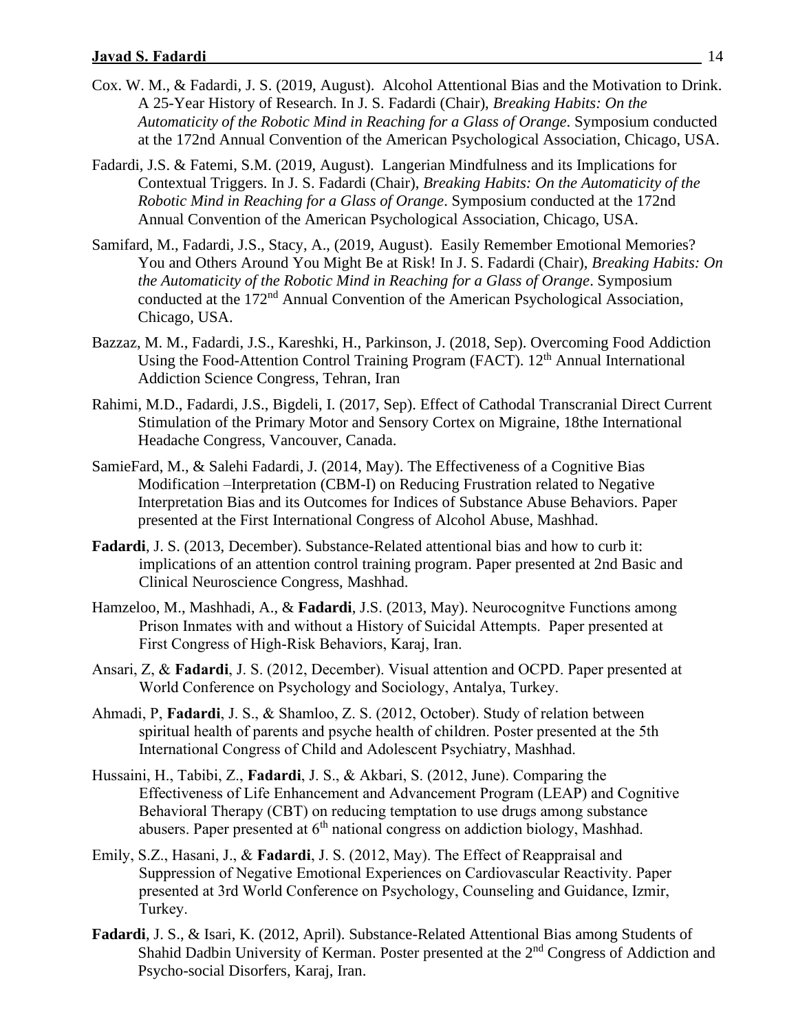- Cox. W. M., & Fadardi, J. S. (2019, August). Alcohol Attentional Bias and the Motivation to Drink. A 25-Year History of Research. In J. S. Fadardi (Chair), *Breaking Habits: On the Automaticity of the Robotic Mind in Reaching for a Glass of Orange*. Symposium conducted at the 172nd Annual Convention of the American Psychological Association, Chicago, USA.
- Fadardi, J.S. & Fatemi, S.M. (2019, August). Langerian Mindfulness and its Implications for Contextual Triggers. In J. S. Fadardi (Chair), *Breaking Habits: On the Automaticity of the Robotic Mind in Reaching for a Glass of Orange*. Symposium conducted at the 172nd Annual Convention of the American Psychological Association, Chicago, USA.
- Samifard, M., Fadardi, J.S., Stacy, A., (2019, August). Easily Remember Emotional Memories? You and Others Around You Might Be at Risk! In J. S. Fadardi (Chair), *Breaking Habits: On the Automaticity of the Robotic Mind in Reaching for a Glass of Orange*. Symposium conducted at the 172nd Annual Convention of the American Psychological Association, Chicago, USA.
- Bazzaz, M. M., Fadardi, J.S., Kareshki, H., Parkinson, J. (2018, Sep). Overcoming Food Addiction Using the Food-Attention Control Training Program (FACT). 12<sup>th</sup> Annual International Addiction Science Congress, Tehran, Iran
- Rahimi, M.D., Fadardi, J.S., Bigdeli, I. (2017, Sep). Effect of Cathodal Transcranial Direct Current Stimulation of the Primary Motor and Sensory Cortex on Migraine, 18the International Headache Congress, Vancouver, Canada.
- SamieFard, M., & Salehi Fadardi, J. (2014, May). The Effectiveness of a Cognitive Bias Modification –Interpretation (CBM-I) on Reducing Frustration related to Negative Interpretation Bias and its Outcomes for Indices of Substance Abuse Behaviors. Paper presented at the First International Congress of Alcohol Abuse, Mashhad.
- **Fadardi**, J. S. (2013, December). Substance-Related attentional bias and how to curb it: implications of an attention control training program. Paper presented at 2nd Basic and Clinical Neuroscience Congress, Mashhad.
- Hamzeloo, M., Mashhadi, A., & **Fadardi**, J.S. (2013, May). Neurocognitve Functions among Prison Inmates with and without a History of Suicidal Attempts. Paper presented at First Congress of High-Risk Behaviors, Karaj, Iran.
- Ansari, Z, & **Fadardi**, J. S. (2012, December). Visual attention and OCPD. Paper presented at World Conference on Psychology and Sociology, Antalya, Turkey.
- Ahmadi, P, **Fadardi**, J. S., & Shamloo, Z. S. (2012, October). Study of relation between spiritual health of parents and psyche health of children. Poster presented at the 5th International Congress of Child and Adolescent Psychiatry, Mashhad.
- Hussaini, H., Tabibi, Z., **Fadardi**, J. S., & Akbari, S. (2012, June). Comparing the Effectiveness of Life Enhancement and Advancement Program (LEAP) and Cognitive Behavioral Therapy (CBT) on reducing temptation to use drugs among substance abusers. Paper presented at  $6<sup>th</sup>$  national congress on addiction biology, Mashhad.
- Emily, S.Z., Hasani, J., & **Fadardi**, J. S. (2012, May). The Effect of Reappraisal and Suppression of Negative Emotional Experiences on Cardiovascular Reactivity. Paper presented at 3rd World Conference on Psychology, Counseling and Guidance, Izmir, Turkey.
- **Fadardi**, J. S., & Isari, K. (2012, April). Substance-Related Attentional Bias among Students of Shahid Dadbin University of Kerman. Poster presented at the 2<sup>nd</sup> Congress of Addiction and Psycho-social Disorfers, Karaj, Iran.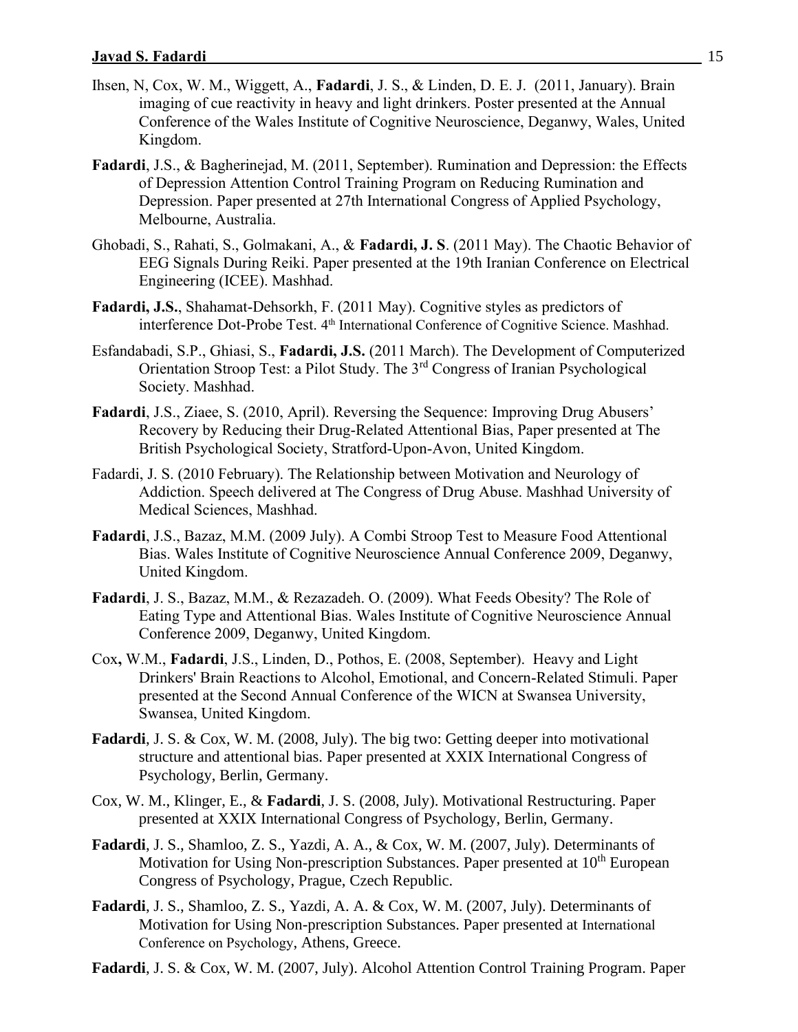- Ihsen, N, Cox, W. M., Wiggett, A., **Fadardi**, J. S., & Linden, D. E. J. (2011, January). Brain imaging of cue reactivity in heavy and light drinkers. Poster presented at the Annual Conference of the Wales Institute of Cognitive Neuroscience, Deganwy, Wales, United Kingdom.
- **Fadardi**, J.S., & Bagherinejad, M. (2011, September). Rumination and Depression: the Effects of Depression Attention Control Training Program on Reducing Rumination and Depression. Paper presented at 27th International Congress of Applied Psychology, Melbourne, Australia.
- Ghobadi, S., Rahati, S., Golmakani, A., & **Fadardi, J. S**. (2011 May). The Chaotic Behavior of EEG Signals During Reiki. Paper presented at the 19th Iranian Conference on Electrical Engineering (ICEE). Mashhad.
- **Fadardi, J.S.**, Shahamat-Dehsorkh, F. (2011 May). Cognitive styles as predictors of interference Dot-Probe Test. 4<sup>th</sup> International Conference of Cognitive Science. Mashhad.
- Esfandabadi, S.P., Ghiasi, S., **Fadardi, J.S.** (2011 March). The Development of Computerized Orientation Stroop Test: a Pilot Study. The 3rd Congress of Iranian Psychological Society. Mashhad.
- **Fadardi**, J.S., Ziaee, S. (2010, April). Reversing the Sequence: Improving Drug Abusers' Recovery by Reducing their Drug-Related Attentional Bias, Paper presented at The British Psychological Society, Stratford-Upon-Avon, United Kingdom.
- Fadardi, J. S. (2010 February). The Relationship between Motivation and Neurology of Addiction. Speech delivered at The Congress of Drug Abuse. Mashhad University of Medical Sciences, Mashhad.
- **Fadardi**, J.S., Bazaz, M.M. (2009 July). A Combi Stroop Test to Measure Food Attentional Bias. Wales Institute of Cognitive Neuroscience Annual Conference 2009, Deganwy, United Kingdom.
- **Fadardi**, J. S., Bazaz, M.M., & Rezazadeh. O. (2009). What Feeds Obesity? The Role of Eating Type and Attentional Bias. Wales Institute of Cognitive Neuroscience Annual Conference 2009, Deganwy, United Kingdom.
- Cox**,** W.M., **Fadardi**, J.S., Linden, D., Pothos, E. (2008, September). Heavy and Light Drinkers' Brain Reactions to Alcohol, Emotional, and Concern-Related Stimuli. Paper presented at the Second Annual Conference of the WICN at Swansea University, Swansea, United Kingdom.
- **Fadardi**, J. S. & Cox, W. M. (2008, July). The big two: Getting deeper into motivational structure and attentional bias. Paper presented at XXIX International Congress of Psychology, Berlin, Germany.
- Cox, W. M., Klinger, E., & **Fadardi**, J. S. (2008, July). Motivational Restructuring. Paper presented at XXIX International Congress of Psychology, Berlin, Germany.
- **Fadardi**, J. S., Shamloo, Z. S., Yazdi, A. A., & Cox, W. M. (2007, July). Determinants of Motivation for Using Non-prescription Substances. Paper presented at 10<sup>th</sup> European Congress of Psychology, Prague, Czech Republic.
- **Fadardi**, J. S., Shamloo, Z. S., Yazdi, A. A. & Cox, W. M. (2007, July). Determinants of Motivation for Using Non-prescription Substances. Paper presented at International Conference on Psychology, Athens, Greece.
- **Fadardi**, J. S. & Cox, W. M. (2007, July). Alcohol Attention Control Training Program. Paper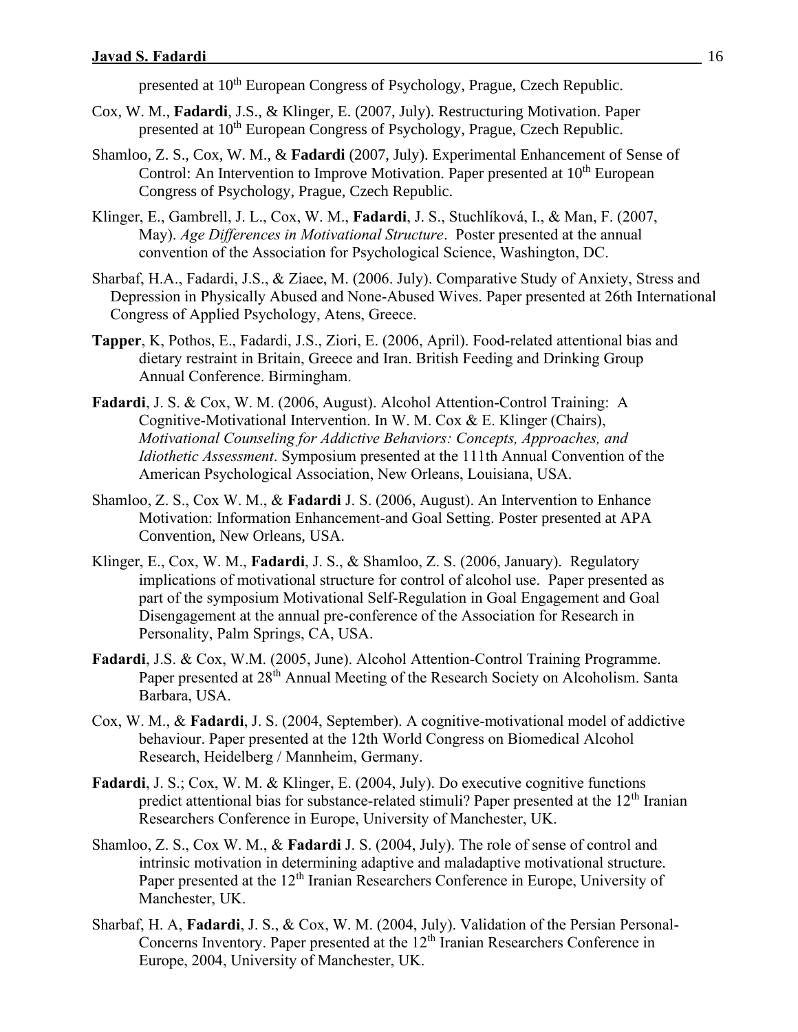presented at 10<sup>th</sup> European Congress of Psychology, Prague, Czech Republic.

- Cox, W. M., **Fadardi**, J.S., & Klinger, E. (2007, July). Restructuring Motivation. Paper presented at 10<sup>th</sup> European Congress of Psychology, Prague, Czech Republic.
- Shamloo, Z. S., Cox, W. M., & **Fadardi** (2007, July). Experimental Enhancement of Sense of Control: An Intervention to Improve Motivation. Paper presented at 10<sup>th</sup> European Congress of Psychology, Prague, Czech Republic.
- Klinger, E., Gambrell, J. L., Cox, W. M., **Fadardi**, J. S., Stuchlíková, I., & Man, F. (2007, May). *Age Differences in Motivational Structure*. Poster presented at the annual convention of the Association for Psychological Science, Washington, DC.
- Sharbaf, H.A., Fadardi, J.S., & Ziaee, M. (2006. July). Comparative Study of Anxiety, Stress and Depression in Physically Abused and None-Abused Wives. Paper presented at 26th International Congress of Applied Psychology, Atens, Greece.
- **Tapper**, K, Pothos, E., Fadardi, J.S., Ziori, E. (2006, April). Food-related attentional bias and dietary restraint in Britain, Greece and Iran. British Feeding and Drinking Group Annual Conference. Birmingham.
- **Fadardi**, J. S. & Cox, W. M. (2006, August). Alcohol Attention-Control Training: A Cognitive-Motivational Intervention. In W. M. Cox & E. Klinger (Chairs), *Motivational Counseling for Addictive Behaviors: Concepts, Approaches, and Idiothetic Assessment*. Symposium presented at the 111th Annual Convention of the American Psychological Association, New Orleans, Louisiana, USA.
- Shamloo, Z. S., Cox W. M., & **Fadardi** J. S. (2006, August). An Intervention to Enhance Motivation: Information Enhancement-and Goal Setting. Poster presented at APA Convention, New Orleans, USA.
- Klinger, E., Cox, W. M., **Fadardi**, J. S., & Shamloo, Z. S. (2006, January). Regulatory implications of motivational structure for control of alcohol use. Paper presented as part of the symposium Motivational Self-Regulation in Goal Engagement and Goal Disengagement at the annual pre-conference of the Association for Research in Personality, Palm Springs, CA, USA.
- **Fadardi**, J.S. & Cox, W.M. (2005, June). Alcohol Attention-Control Training Programme. Paper presented at 28<sup>th</sup> Annual Meeting of the Research Society on Alcoholism. Santa Barbara, USA.
- Cox, W. M., & **Fadardi**, J. S. (2004, September). A cognitive-motivational model of addictive behaviour. Paper presented at the 12th World Congress on Biomedical Alcohol Research, Heidelberg / Mannheim, Germany.
- **Fadardi**, J. S.; Cox, W. M. & Klinger, E. (2004, July). Do executive cognitive functions predict attentional bias for substance-related stimuli? Paper presented at the  $12<sup>th</sup>$  Iranian Researchers Conference in Europe, University of Manchester, UK.
- Shamloo, Z. S., Cox W. M., & **Fadardi** J. S. (2004, July). The role of sense of control and intrinsic motivation in determining adaptive and maladaptive motivational structure. Paper presented at the  $12<sup>th</sup>$  Iranian Researchers Conference in Europe, University of Manchester, UK.
- Sharbaf, H. A, **Fadardi**, J. S., & Cox, W. M. (2004, July). Validation of the Persian Personal-Concerns Inventory. Paper presented at the  $12<sup>th</sup>$  Iranian Researchers Conference in Europe, 2004, University of Manchester, UK.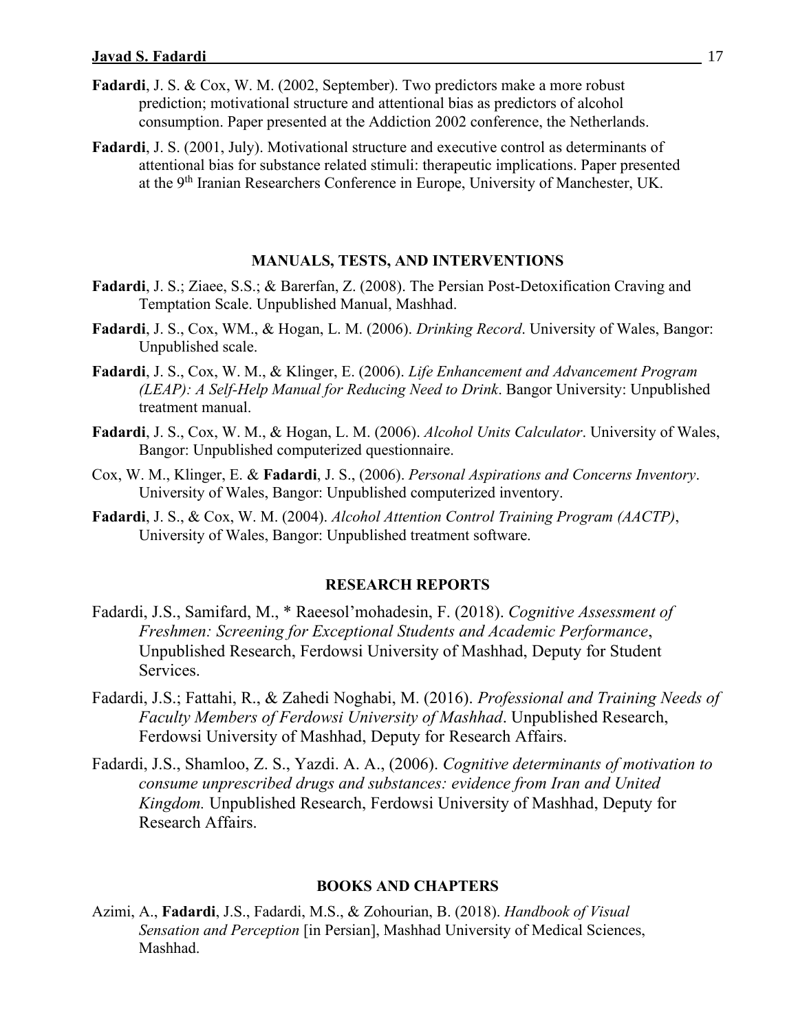- **Fadardi**, J. S. & Cox, W. M. (2002, September). Two predictors make a more robust prediction; motivational structure and attentional bias as predictors of alcohol consumption. Paper presented at the Addiction 2002 conference, the Netherlands.
- **Fadardi**, J. S. (2001, July). Motivational structure and executive control as determinants of attentional bias for substance related stimuli: therapeutic implications. Paper presented at the 9th Iranian Researchers Conference in Europe, University of Manchester, UK.

### **MANUALS, TESTS, AND INTERVENTIONS**

- **Fadardi**, J. S.; Ziaee, S.S.; & Barerfan, Z. (2008). The Persian Post-Detoxification Craving and Temptation Scale. Unpublished Manual, Mashhad.
- **Fadardi**, J. S., Cox, WM., & Hogan, L. M. (2006). *Drinking Record*. University of Wales, Bangor: Unpublished scale.
- **Fadardi**, J. S., Cox, W. M., & Klinger, E. (2006). *Life Enhancement and Advancement Program (LEAP): A Self-Help Manual for Reducing Need to Drink*. Bangor University: Unpublished treatment manual.
- **Fadardi**, J. S., Cox, W. M., & Hogan, L. M. (2006). *Alcohol Units Calculator*. University of Wales, Bangor: Unpublished computerized questionnaire.
- Cox, W. M., Klinger, E. & **Fadardi**, J. S., (2006). *Personal Aspirations and Concerns Inventory*. University of Wales, Bangor: Unpublished computerized inventory.
- **Fadardi**, J. S., & Cox, W. M. (2004). *Alcohol Attention Control Training Program (AACTP)*, University of Wales, Bangor: Unpublished treatment software.

#### **RESEARCH REPORTS**

- Fadardi, J.S., Samifard, M., \* Raeesol'mohadesin, F. (2018). *Cognitive Assessment of Freshmen: Screening for Exceptional Students and Academic Performance*, Unpublished Research, Ferdowsi University of Mashhad, Deputy for Student Services.
- Fadardi, J.S.; Fattahi, R., & Zahedi Noghabi, M. (2016). *Professional and Training Needs of Faculty Members of Ferdowsi University of Mashhad*. Unpublished Research, Ferdowsi University of Mashhad, Deputy for Research Affairs.
- Fadardi, J.S., Shamloo, Z. S., Yazdi. A. A., (2006). *Cognitive determinants of motivation to consume unprescribed drugs and substances: evidence from Iran and United Kingdom.* Unpublished Research, Ferdowsi University of Mashhad, Deputy for Research Affairs.

#### **BOOKS AND CHAPTERS**

Azimi, A., **Fadardi**, J.S., Fadardi, M.S., & Zohourian, B. (2018). *Handbook of Visual Sensation and Perception* [in Persian], Mashhad University of Medical Sciences, Mashhad.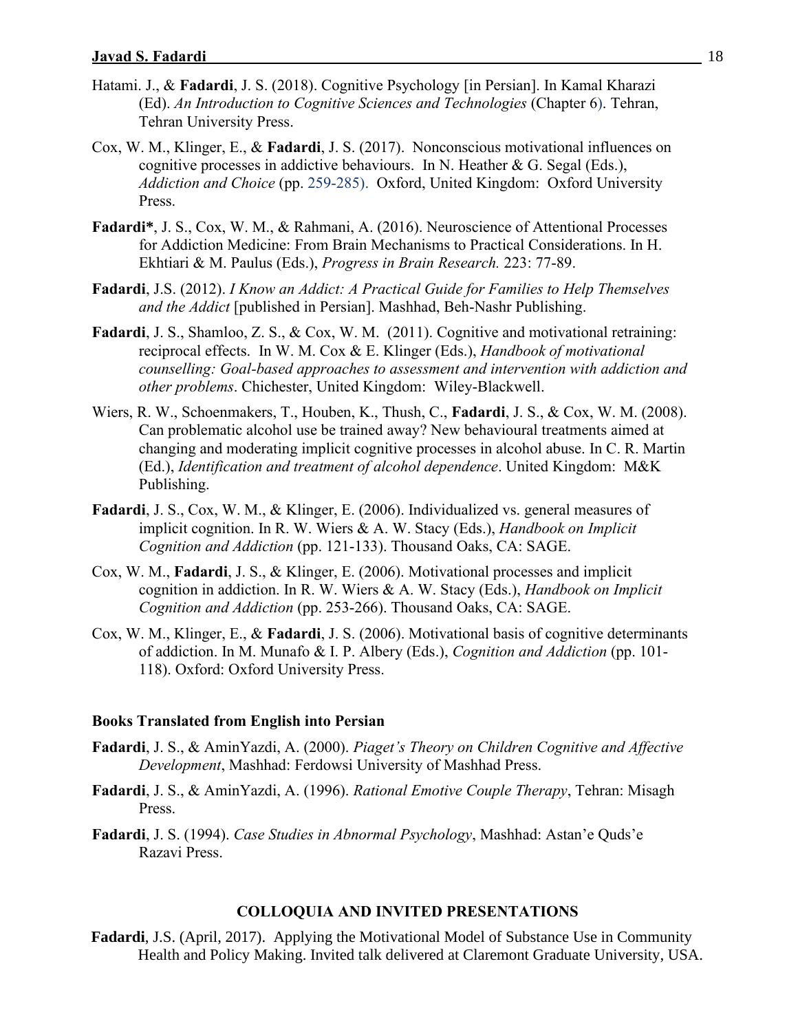- Hatami. J., & **Fadardi**, J. S. (2018). Cognitive Psychology [in Persian]. In Kamal Kharazi (Ed). *An Introduction to Cognitive Sciences and Technologies* (Chapter 6). Tehran, Tehran University Press.
- Cox, W. M., Klinger, E., & **Fadardi**, J. S. (2017). Nonconscious motivational influences on cognitive processes in addictive behaviours. In N. Heather & G. Segal (Eds.), *Addiction and Choice* (pp. 259-285). Oxford, United Kingdom: Oxford University Press.
- **Fadardi\***, J. S., Cox, W. M., & Rahmani, A. (2016). Neuroscience of Attentional Processes for Addiction Medicine: From Brain Mechanisms to Practical Considerations. In H. Ekhtiari & M. Paulus (Eds.), *Progress in Brain Research.* 223: 77-89.
- **Fadardi**, J.S. (2012). *I Know an Addict: A Practical Guide for Families to Help Themselves and the Addict* [published in Persian]. Mashhad, Beh-Nashr Publishing.
- **Fadardi**, J. S., Shamloo, Z. S., & Cox, W. M. (2011). Cognitive and motivational retraining: reciprocal effects. In W. M. Cox & E. Klinger (Eds.), *Handbook of motivational counselling: Goal-based approaches to assessment and intervention with addiction and other problems*. Chichester, United Kingdom: Wiley-Blackwell.
- Wiers, R. W., Schoenmakers, T., Houben, K., Thush, C., **Fadardi**, J. S., & Cox, W. M. (2008). Can problematic alcohol use be trained away? New behavioural treatments aimed at changing and moderating implicit cognitive processes in alcohol abuse. In C. R. Martin (Ed.), *Identification and treatment of alcohol dependence*. United Kingdom: M&K Publishing.
- **Fadardi**, J. S., Cox, W. M., & Klinger, E. (2006). Individualized vs. general measures of implicit cognition. In R. W. Wiers & A. W. Stacy (Eds.), *Handbook on Implicit Cognition and Addiction* (pp. 121-133). Thousand Oaks, CA: SAGE.
- Cox, W. M., **Fadardi**, J. S., & Klinger, E. (2006). Motivational processes and implicit cognition in addiction. In R. W. Wiers & A. W. Stacy (Eds.), *Handbook on Implicit Cognition and Addiction* (pp. 253-266). Thousand Oaks, CA: SAGE.
- Cox, W. M., Klinger, E., & **Fadardi**, J. S. (2006). Motivational basis of cognitive determinants of addiction. In M. Munafo & I. P. Albery (Eds.), *Cognition and Addiction* (pp. 101- 118). Oxford: Oxford University Press.

#### **Books Translated from English into Persian**

- **Fadardi**, J. S., & AminYazdi, A. (2000). *Piaget's Theory on Children Cognitive and Affective Development*, Mashhad: Ferdowsi University of Mashhad Press.
- **Fadardi**, J. S., & AminYazdi, A. (1996). *Rational Emotive Couple Therapy*, Tehran: Misagh Press.
- **Fadardi**, J. S. (1994). *Case Studies in Abnormal Psychology*, Mashhad: Astan'e Quds'e Razavi Press.

#### **COLLOQUIA AND INVITED PRESENTATIONS**

**Fadardi**, J.S. (April, 2017). Applying the Motivational Model of Substance Use in Community Health and Policy Making. Invited talk delivered at Claremont Graduate University, USA.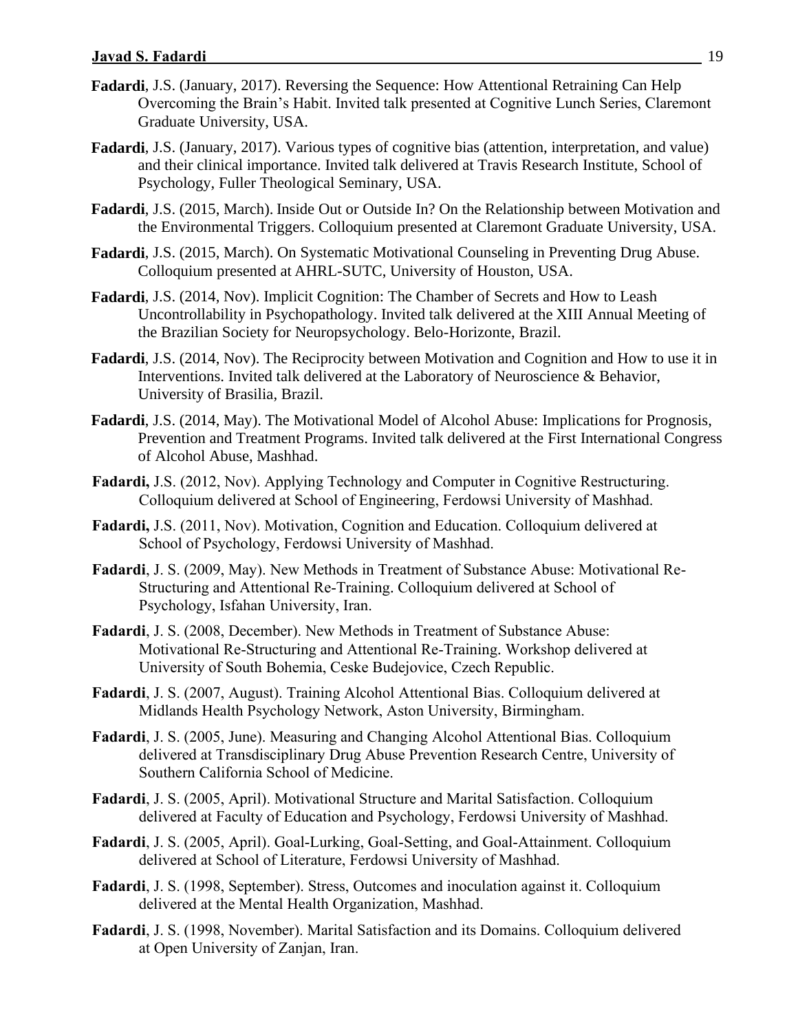- **Fadardi**, J.S. (January, 2017). Reversing the Sequence: How Attentional Retraining Can Help Overcoming the Brain's Habit. Invited talk presented at Cognitive Lunch Series, Claremont Graduate University, USA.
- **Fadardi**, J.S. (January, 2017). Various types of cognitive bias (attention, interpretation, and value) and their clinical importance. Invited talk delivered at Travis Research Institute, School of Psychology, Fuller Theological Seminary, USA.
- **Fadardi**, J.S. (2015, March). Inside Out or Outside In? On the Relationship between Motivation and the Environmental Triggers. Colloquium presented at Claremont Graduate University, USA.
- **Fadardi**, J.S. (2015, March). On Systematic Motivational Counseling in Preventing Drug Abuse. Colloquium presented at AHRL-SUTC, University of Houston, USA.
- **Fadardi**, J.S. (2014, Nov). Implicit Cognition: The Chamber of Secrets and How to Leash Uncontrollability in Psychopathology. Invited talk delivered at the XIII Annual Meeting of the Brazilian Society for Neuropsychology. Belo-Horizonte, Brazil.
- **Fadardi**, J.S. (2014, Nov). The Reciprocity between Motivation and Cognition and How to use it in Interventions. Invited talk delivered at the Laboratory of Neuroscience & Behavior, University of Brasilia, Brazil.
- **Fadardi**, J.S. (2014, May). The Motivational Model of Alcohol Abuse: Implications for Prognosis, Prevention and Treatment Programs. Invited talk delivered at the First International Congress of Alcohol Abuse, Mashhad.
- **Fadardi,** J.S. (2012, Nov). Applying Technology and Computer in Cognitive Restructuring. Colloquium delivered at School of Engineering, Ferdowsi University of Mashhad.
- **Fadardi,** J.S. (2011, Nov). Motivation, Cognition and Education. Colloquium delivered at School of Psychology, Ferdowsi University of Mashhad.
- **Fadardi**, J. S. (2009, May). New Methods in Treatment of Substance Abuse: Motivational Re-Structuring and Attentional Re-Training. Colloquium delivered at School of Psychology, Isfahan University, Iran.
- **Fadardi**, J. S. (2008, December). New Methods in Treatment of Substance Abuse: Motivational Re-Structuring and Attentional Re-Training. Workshop delivered at University of South Bohemia, Ceske Budejovice, Czech Republic.
- **Fadardi**, J. S. (2007, August). Training Alcohol Attentional Bias. Colloquium delivered at Midlands Health Psychology Network, Aston University, Birmingham.
- **Fadardi**, J. S. (2005, June). Measuring and Changing Alcohol Attentional Bias. Colloquium delivered at Transdisciplinary Drug Abuse Prevention Research Centre, University of Southern California School of Medicine.
- **Fadardi**, J. S. (2005, April). Motivational Structure and Marital Satisfaction. Colloquium delivered at Faculty of Education and Psychology, Ferdowsi University of Mashhad.
- **Fadardi**, J. S. (2005, April). Goal-Lurking, Goal-Setting, and Goal-Attainment. Colloquium delivered at School of Literature, Ferdowsi University of Mashhad.
- **Fadardi**, J. S. (1998, September). Stress, Outcomes and inoculation against it. Colloquium delivered at the Mental Health Organization, Mashhad.
- **Fadardi**, J. S. (1998, November). Marital Satisfaction and its Domains. Colloquium delivered at Open University of Zanjan, Iran.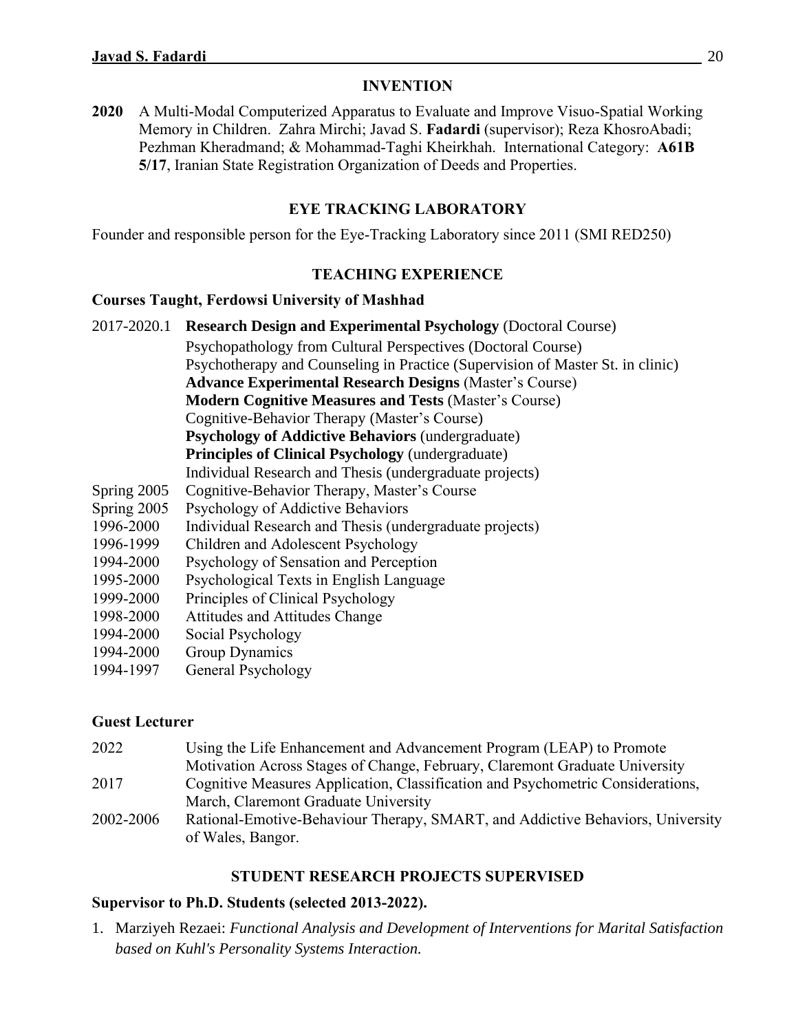# **INVENTION**

**2020** A Multi-Modal Computerized Apparatus to Evaluate and Improve Visuo-Spatial Working Memory in Children. Zahra Mirchi; Javad S. **Fadardi** (supervisor); Reza KhosroAbadi; Pezhman Kheradmand; & Mohammad-Taghi Kheirkhah. International Category: **A61B 5/17**, Iranian State Registration Organization of Deeds and Properties.

# **EYE TRACKING LABORATORY**

Founder and responsible person for the Eye-Tracking Laboratory since 2011 (SMI RED250)

# **TEACHING EXPERIENCE**

## **Courses Taught, Ferdowsi University of Mashhad**

- 2017-2020.1 **Research Design and Experimental Psychology** (Doctoral Course) Psychopathology from Cultural Perspectives (Doctoral Course) Psychotherapy and Counseling in Practice (Supervision of Master St. in clinic) **Advance Experimental Research Designs** (Master's Course) **Modern Cognitive Measures and Tests** (Master's Course) Cognitive-Behavior Therapy (Master's Course) **Psychology of Addictive Behaviors** (undergraduate) **Principles of Clinical Psychology** (undergraduate) Individual Research and Thesis (undergraduate projects) Spring 2005 Cognitive-Behavior Therapy, Master's Course Spring 2005 Psychology of Addictive Behaviors 1996-2000 Individual Research and Thesis (undergraduate projects) 1996-1999 Children and Adolescent Psychology 1994-2000 Psychology of Sensation and Perception
- 1995-2000 Psychological Texts in English Language
- 1999-2000 Principles of Clinical Psychology
- 1998-2000 Attitudes and Attitudes Change
- 1994-2000 Social Psychology
- 1994-2000 Group Dynamics
- 1994-1997 General Psychology

# **Guest Lecturer**

| 2022      | Using the Life Enhancement and Advancement Program (LEAP) to Promote            |
|-----------|---------------------------------------------------------------------------------|
|           | Motivation Across Stages of Change, February, Claremont Graduate University     |
| 2017      | Cognitive Measures Application, Classification and Psychometric Considerations, |
|           | March, Claremont Graduate University                                            |
| 2002-2006 | Rational-Emotive-Behaviour Therapy, SMART, and Addictive Behaviors, University  |
|           | of Wales, Bangor.                                                               |

# **STUDENT RESEARCH PROJECTS SUPERVISED**

# **Supervisor to Ph.D. Students (selected 2013-2022).**

1. Marziyeh Rezaei: *Functional Analysis and Development of Interventions for Marital Satisfaction based on Kuhl's Personality Systems Interaction.*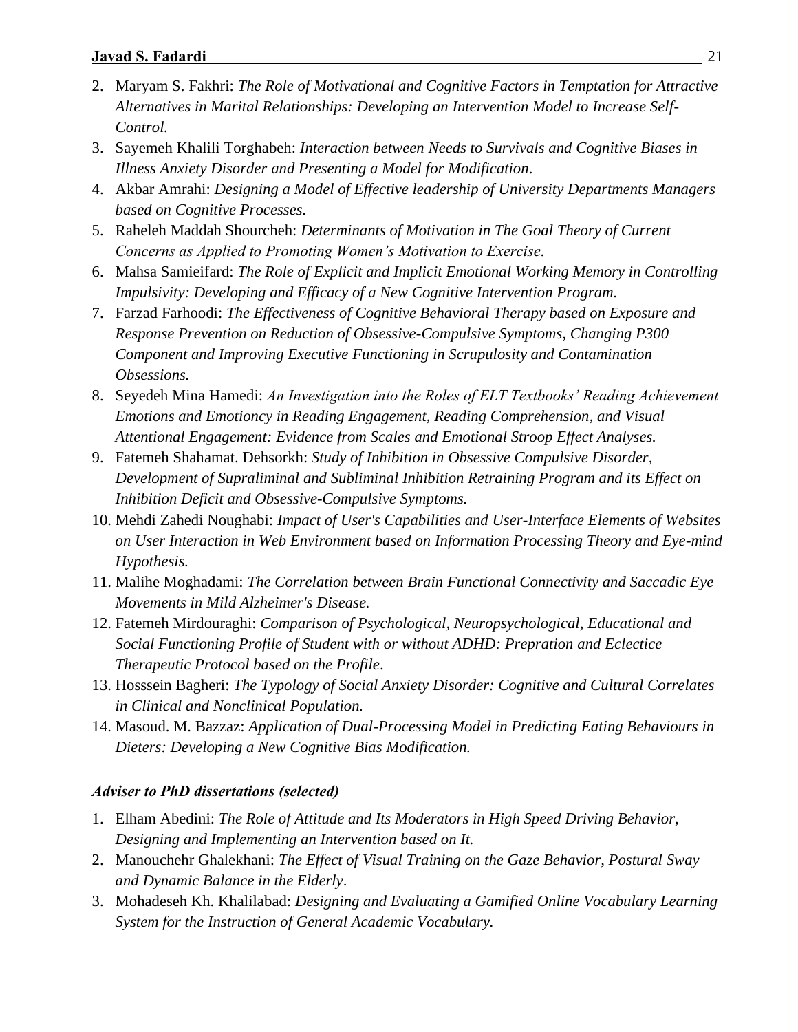- 2. Maryam S. Fakhri: *The Role of Motivational and Cognitive Factors in Temptation for Attractive Alternatives in Marital Relationships: Developing an Intervention Model to Increase Self-Control.*
- 3. Sayemeh Khalili Torghabeh: *Interaction between Needs to Survivals and Cognitive Biases in Illness Anxiety Disorder and Presenting a Model for Modification*.
- 4. Akbar Amrahi: *Designing a Model of Effective leadership of University Departments Managers based on Cognitive Processes.*
- 5. Raheleh Maddah Shourcheh: *Determinants of Motivation in The Goal Theory of Current Concerns as Applied to Promoting Women's Motivation to Exercise.*
- 6. Mahsa Samieifard: *The Role of Explicit and Implicit Emotional Working Memory in Controlling Impulsivity: Developing and Efficacy of a New Cognitive Intervention Program.*
- 7. Farzad Farhoodi: *The Effectiveness of Cognitive Behavioral Therapy based on Exposure and Response Prevention on Reduction of Obsessive-Compulsive Symptoms, Changing P300 Component and Improving Executive Functioning in Scrupulosity and Contamination Obsessions.*
- 8. Seyedeh Mina Hamedi: *An Investigation into the Roles of ELT Textbooks' Reading Achievement Emotions and Emotioncy in Reading Engagement, Reading Comprehension, and Visual Attentional Engagement: Evidence from Scales and Emotional Stroop Effect Analyses.*
- 9. Fatemeh Shahamat. Dehsorkh: *Study of Inhibition in Obsessive Compulsive Disorder, Development of Supraliminal and Subliminal Inhibition Retraining Program and its Effect on Inhibition Deficit and Obsessive-Compulsive Symptoms.*
- 10. Mehdi Zahedi Noughabi: *Impact of User's Capabilities and User-Interface Elements of Websites on User Interaction in Web Environment based on Information Processing Theory and Eye-mind Hypothesis.*
- 11. Malihe Moghadami: *The Correlation between Brain Functional Connectivity and Saccadic Eye Movements in Mild Alzheimer's Disease.*
- 12. Fatemeh Mirdouraghi: *Comparison of Psychological, Neuropsychological, Educational and Social Functioning Profile of Student with or without ADHD: Prepration and Eclectice Therapeutic Protocol based on the Profile*.
- 13. Hosssein Bagheri: *The Typology of Social Anxiety Disorder: Cognitive and Cultural Correlates in Clinical and Nonclinical Population.*
- 14. Masoud. M. Bazzaz: *Application of Dual-Processing Model in Predicting Eating Behaviours in Dieters: Developing a New Cognitive Bias Modification.*

# *Adviser to PhD dissertations (selected)*

- 1. Elham Abedini: *The Role of Attitude and Its Moderators in High Speed Driving Behavior, Designing and Implementing an Intervention based on It.*
- 2. Manouchehr Ghalekhani: *The Effect of Visual Training on the Gaze Behavior, Postural Sway and Dynamic Balance in the Elderly*.
- 3. Mohadeseh Kh. Khalilabad: *Designing and Evaluating a Gamified Online Vocabulary Learning System for the Instruction of General Academic Vocabulary.*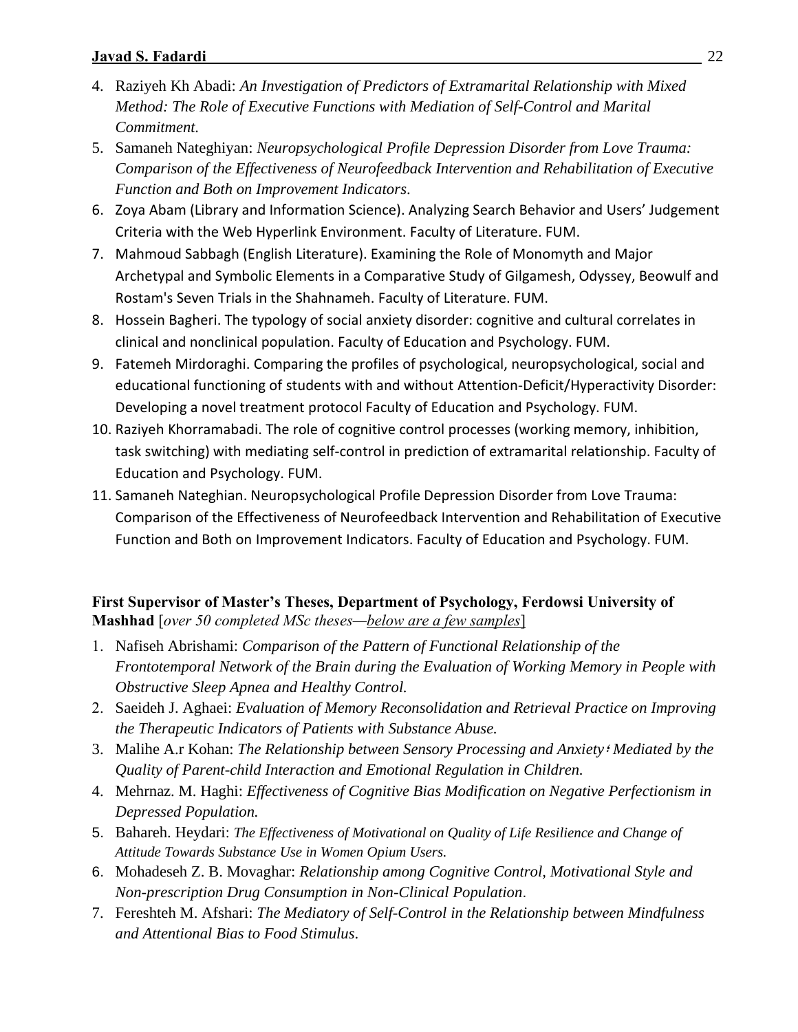- 4. Raziyeh Kh Abadi: *An Investigation of Predictors of Extramarital Relationship with Mixed Method: The Role of Executive Functions with Mediation of Self-Control and Marital Commitment.*
- 5. Samaneh Nateghiyan: *Neuropsychological Profile Depression Disorder from Love Trauma: Comparison of the Effectiveness of Neurofeedback Intervention and Rehabilitation of Executive Function and Both on Improvement Indicators*.
- 6. Zoya Abam (Library and Information Science). Analyzing Search Behavior and Users' Judgement Criteria with the Web Hyperlink Environment. Faculty of Literature. FUM.
- 7. Mahmoud Sabbagh (English Literature). Examining the Role of Monomyth and Major Archetypal and Symbolic Elements in a Comparative Study of Gilgamesh, Odyssey, Beowulf and Rostam's Seven Trials in the Shahnameh. Faculty of Literature. FUM.
- 8. Hossein Bagheri. The typology of social anxiety disorder: cognitive and cultural correlates in clinical and nonclinical population. Faculty of Education and Psychology. FUM.
- 9. Fatemeh Mirdoraghi. Comparing the profiles of psychological, neuropsychological, social and educational functioning of students with and without Attention-Deficit/Hyperactivity Disorder: Developing a novel treatment protocol Faculty of Education and Psychology. FUM.
- 10. Raziyeh Khorramabadi. The role of cognitive control processes (working memory, inhibition, task switching) with mediating self-control in prediction of extramarital relationship. Faculty of Education and Psychology. FUM.
- 11. Samaneh Nateghian. Neuropsychological Profile Depression Disorder from Love Trauma: Comparison of the Effectiveness of Neurofeedback Intervention and Rehabilitation of Executive Function and Both on Improvement Indicators. Faculty of Education and Psychology. FUM.

**First Supervisor of Master's Theses, Department of Psychology, Ferdowsi University of Mashhad** [*over 50 completed MSc theses—below are a few samples*]

- 1. Nafiseh Abrishami: *Comparison of the Pattern of Functional Relationship of the Frontotemporal Network of the Brain during the Evaluation of Working Memory in People with Obstructive Sleep Apnea and Healthy Control.*
- 2. Saeideh J. Aghaei: *Evaluation of Memory Reconsolidation and Retrieval Practice on Improving the Therapeutic Indicators of Patients with Substance Abuse.*
- 3. Malihe A.r Kohan: *The Relationship between Sensory Processing and Anxiety*؛ *Mediated by the Quality of Parent-child Interaction and Emotional Regulation in Children.*
- 4. Mehrnaz. M. Haghi: *Effectiveness of Cognitive Bias Modification on Negative Perfectionism in Depressed Population.*
- 5. Bahareh. Heydari: *The Effectiveness of Motivational on Quality of Life Resilience and Change of Attitude Towards Substance Use in Women Opium Users.*
- 6. Mohadeseh Z. B. Movaghar: *Relationship among Cognitive Control, Motivational Style and Non-prescription Drug Consumption in Non-Clinical Population*.
- 7. Fereshteh M. Afshari: *The Mediatory of Self-Control in the Relationship between Mindfulness and Attentional Bias to Food Stimulus*.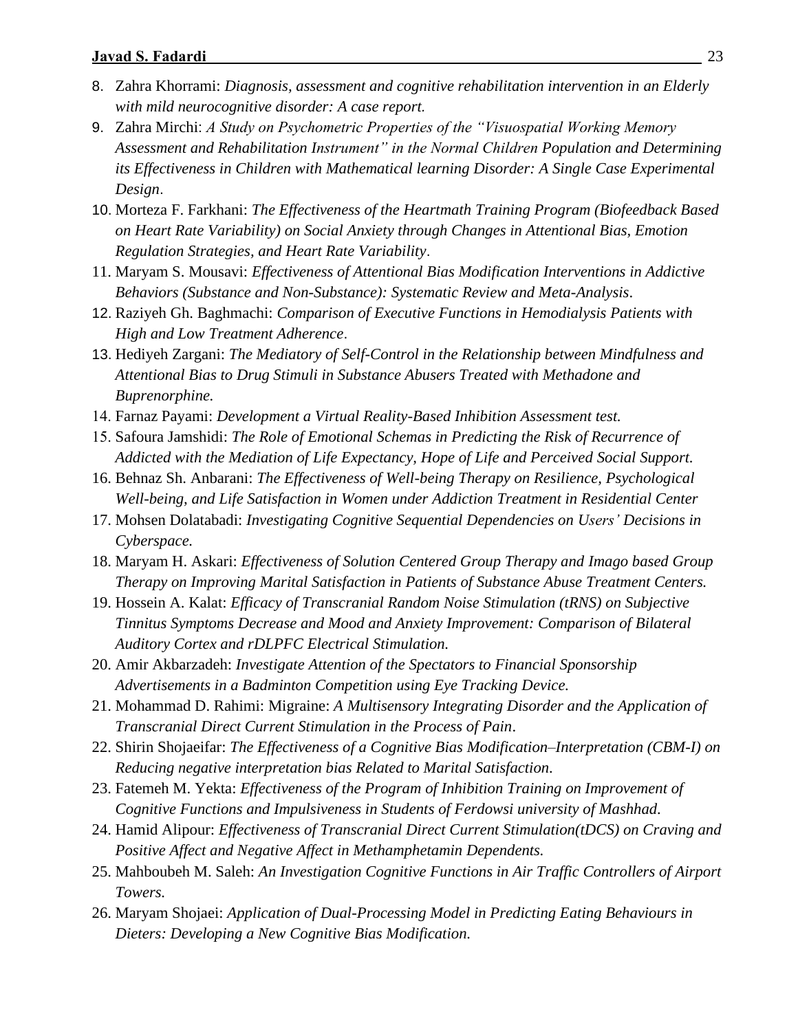- 8. Zahra Khorrami: *Diagnosis, assessment and cognitive rehabilitation intervention in an Elderly with mild neurocognitive disorder: A case report.*
- 9. Zahra Mirchi: *A Study on Psychometric Properties of the "Visuospatial Working Memory Assessment and Rehabilitation Instrument" in the Normal Children Population and Determining its Effectiveness in Children with Mathematical learning Disorder: A Single Case Experimental Design*.
- 10. Morteza F. Farkhani: *The Effectiveness of the Heartmath Training Program (Biofeedback Based on Heart Rate Variability) on Social Anxiety through Changes in Attentional Bias, Emotion Regulation Strategies, and Heart Rate Variability*.
- 11. Maryam S. Mousavi: *Effectiveness of Attentional Bias Modification Interventions in Addictive Behaviors (Substance and Non-Substance): Systematic Review and Meta-Analysis*.
- 12. Raziyeh Gh. Baghmachi: *Comparison of Executive Functions in Hemodialysis Patients with High and Low Treatment Adherence*.
- 13. Hediyeh Zargani: *The Mediatory of Self-Control in the Relationship between Mindfulness and Attentional Bias to Drug Stimuli in Substance Abusers Treated with Methadone and Buprenorphine.*
- 14. Farnaz Payami: *Development a Virtual Reality-Based Inhibition Assessment test.*
- 15. Safoura Jamshidi: *The Role of Emotional Schemas in Predicting the Risk of Recurrence of Addicted with the Mediation of Life Expectancy, Hope of Life and Perceived Social Support.*
- 16. Behnaz Sh. Anbarani: *The Effectiveness of Well-being Therapy on Resilience, Psychological Well-being, and Life Satisfaction in Women under Addiction Treatment in Residential Center*
- 17. Mohsen Dolatabadi: *Investigating Cognitive Sequential Dependencies on Users' Decisions in Cyberspace.*
- 18. Maryam H. Askari: *Effectiveness of Solution Centered Group Therapy and Imago based Group Therapy on Improving Marital Satisfaction in Patients of Substance Abuse Treatment Centers.*
- 19. Hossein A. Kalat: *Efficacy of Transcranial Random Noise Stimulation (tRNS) on Subjective Tinnitus Symptoms Decrease and Mood and Anxiety Improvement: Comparison of Bilateral Auditory Cortex and rDLPFC Electrical Stimulation.*
- 20. Amir Akbarzadeh: *Investigate Attention of the Spectators to Financial Sponsorship Advertisements in a Badminton Competition using Eye Tracking Device.*
- 21. Mohammad D. Rahimi: Migraine: *A Multisensory Integrating Disorder and the Application of Transcranial Direct Current Stimulation in the Process of Pain*.
- 22. Shirin Shojaeifar: *The Effectiveness of a Cognitive Bias Modification–Interpretation (CBM-I) on Reducing negative interpretation bias Related to Marital Satisfaction.*
- 23. Fatemeh M. Yekta: *Effectiveness of the Program of Inhibition Training on Improvement of Cognitive Functions and Impulsiveness in Students of Ferdowsi university of Mashhad.*
- 24. Hamid Alipour: *Effectiveness of Transcranial Direct Current Stimulation(tDCS) on Craving and Positive Affect and Negative Affect in Methamphetamin Dependents.*
- 25. Mahboubeh M. Saleh: *An Investigation Cognitive Functions in Air Traffic Controllers of Airport Towers.*
- 26. Maryam Shojaei: *Application of Dual-Processing Model in Predicting Eating Behaviours in Dieters: Developing a New Cognitive Bias Modification.*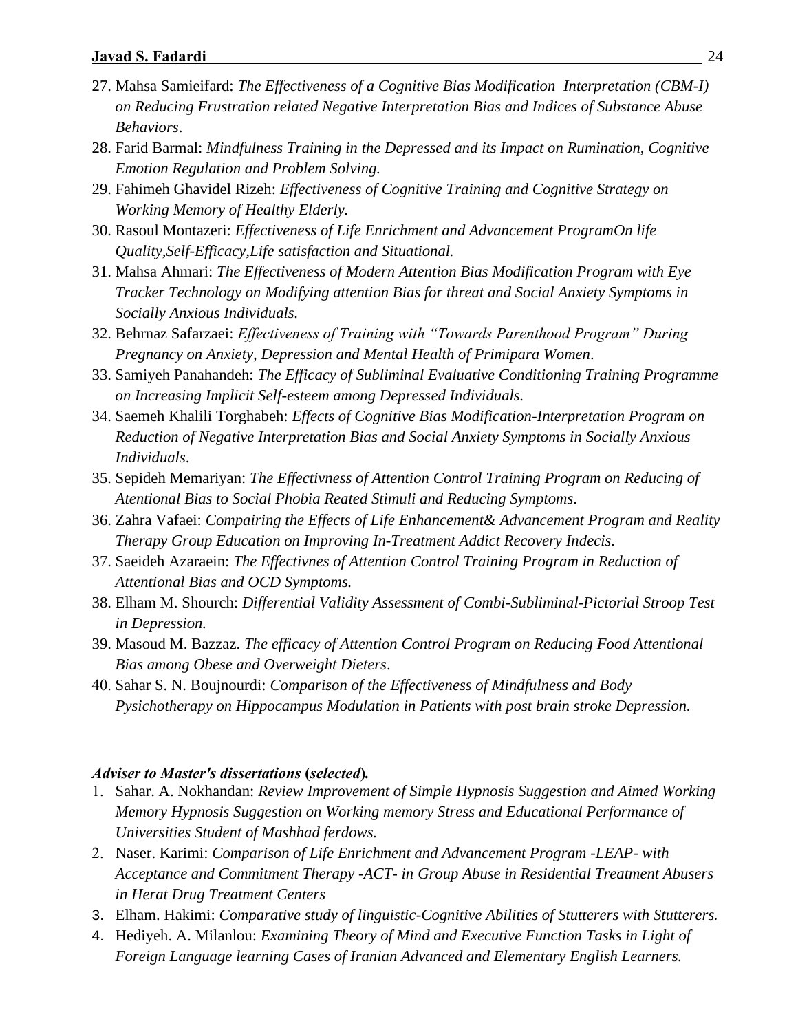- 27. Mahsa Samieifard: *The Effectiveness of a Cognitive Bias Modification–Interpretation (CBM-I) on Reducing Frustration related Negative Interpretation Bias and Indices of Substance Abuse Behaviors*.
- 28. Farid Barmal: *Mindfulness Training in the Depressed and its Impact on Rumination, Cognitive Emotion Regulation and Problem Solving.*
- 29. Fahimeh Ghavidel Rizeh: *Effectiveness of Cognitive Training and Cognitive Strategy on Working Memory of Healthy Elderly.*
- 30. Rasoul Montazeri: *Effectiveness of Life Enrichment and Advancement ProgramOn life Quality,Self-Efficacy,Life satisfaction and Situational.*
- 31. Mahsa Ahmari: *The Effectiveness of Modern Attention Bias Modification Program with Eye Tracker Technology on Modifying attention Bias for threat and Social Anxiety Symptoms in Socially Anxious Individuals.*
- 32. Behrnaz Safarzaei: *Effectiveness of Training with "Towards Parenthood Program" During Pregnancy on Anxiety, Depression and Mental Health of Primipara Women*.
- 33. Samiyeh Panahandeh: *The Efficacy of Subliminal Evaluative Conditioning Training Programme on Increasing Implicit Self-esteem among Depressed Individuals.*
- 34. Saemeh Khalili Torghabeh: *Effects of Cognitive Bias Modification-Interpretation Program on Reduction of Negative Interpretation Bias and Social Anxiety Symptoms in Socially Anxious Individuals*.
- 35. Sepideh Memariyan: *The Effectivness of Attention Control Training Program on Reducing of Atentional Bias to Social Phobia Reated Stimuli and Reducing Symptoms*.
- 36. Zahra Vafaei: *Compairing the Effects of Life Enhancement& Advancement Program and Reality Therapy Group Education on Improving In-Treatment Addict Recovery Indecis.*
- 37. Saeideh Azaraein: *The Effectivnes of Attention Control Training Program in Reduction of Attentional Bias and OCD Symptoms.*
- 38. Elham M. Shourch: *Differential Validity Assessment of Combi-Subliminal-Pictorial Stroop Test in Depression.*
- 39. Masoud M. Bazzaz. *The efficacy of Attention Control Program on Reducing Food Attentional Bias among Obese and Overweight Dieters*.
- 40. Sahar S. N. Boujnourdi: *Comparison of the Effectiveness of Mindfulness and Body Pysichotherapy on Hippocampus Modulation in Patients with post brain stroke Depression.*

#### *Adviser to Master's dissertations* **(***selected***)***.*

- 1. Sahar. A. Nokhandan: *Review Improvement of Simple Hypnosis Suggestion and Aimed Working Memory Hypnosis Suggestion on Working memory Stress and Educational Performance of Universities Student of Mashhad ferdows.*
- 2. Naser. Karimi: *Comparison of Life Enrichment and Advancement Program -LEAP- with Acceptance and Commitment Therapy -ACT- in Group Abuse in Residential Treatment Abusers in Herat Drug Treatment Centers*
- 3. Elham. Hakimi: *Comparative study of linguistic-Cognitive Abilities of Stutterers with Stutterers.*
- 4. Hediyeh. A. Milanlou: *Examining Theory of Mind and Executive Function Tasks in Light of Foreign Language learning Cases of Iranian Advanced and Elementary English Learners.*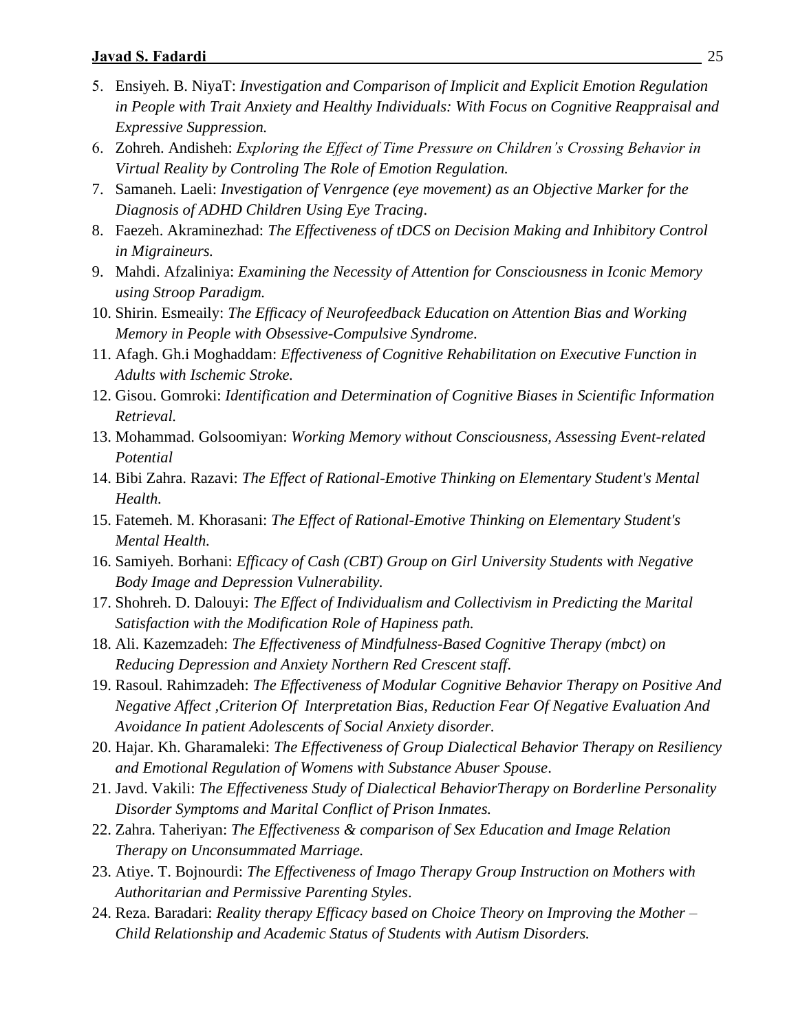- 5. Ensiyeh. B. NiyaT: *Investigation and Comparison of Implicit and Explicit Emotion Regulation in People with Trait Anxiety and Healthy Individuals: With Focus on Cognitive Reappraisal and Expressive Suppression.*
- 6. Zohreh. Andisheh: *Exploring the Effect of Time Pressure on Children's Crossing Behavior in Virtual Reality by Controling The Role of Emotion Regulation.*
- 7. Samaneh. Laeli: *Investigation of Venrgence (eye movement) as an Objective Marker for the Diagnosis of ADHD Children Using Eye Tracing*.
- 8. Faezeh. Akraminezhad: *The Effectiveness of tDCS on Decision Making and Inhibitory Control in Migraineurs.*
- 9. Mahdi. Afzaliniya: *Examining the Necessity of Attention for Consciousness in Iconic Memory using Stroop Paradigm.*
- 10. Shirin. Esmeaily: *The Efficacy of Neurofeedback Education on Attention Bias and Working Memory in People with Obsessive-Compulsive Syndrome*.
- 11. Afagh. Gh.i Moghaddam: *Effectiveness of Cognitive Rehabilitation on Executive Function in Adults with Ischemic Stroke.*
- 12. Gisou. Gomroki: *Identification and Determination of Cognitive Biases in Scientific Information Retrieval.*
- 13. Mohammad. Golsoomiyan: *Working Memory without Consciousness, Assessing Event-related Potential*
- 14. Bibi Zahra. Razavi: *The Effect of Rational-Emotive Thinking on Elementary Student's Mental Health.*
- 15. Fatemeh. M. Khorasani: *The Effect of Rational-Emotive Thinking on Elementary Student's Mental Health.*
- 16. Samiyeh. Borhani: *Efficacy of Cash (CBT) Group on Girl University Students with Negative Body Image and Depression Vulnerability.*
- 17. Shohreh. D. Dalouyi: *The Effect of Individualism and Collectivism in Predicting the Marital Satisfaction with the Modification Role of Hapiness path.*
- 18. Ali. Kazemzadeh: *The Effectiveness of Mindfulness-Based Cognitive Therapy (mbct) on Reducing Depression and Anxiety Northern Red Crescent staff*.
- 19. Rasoul. Rahimzadeh: *The Effectiveness of Modular Cognitive Behavior Therapy on Positive And Negative Affect ,Criterion Of Interpretation Bias, Reduction Fear Of Negative Evaluation And Avoidance In patient Adolescents of Social Anxiety disorder.*
- 20. Hajar. Kh. Gharamaleki: *The Effectiveness of Group Dialectical Behavior Therapy on Resiliency and Emotional Regulation of Womens with Substance Abuser Spouse*.
- 21. Javd. Vakili: *The Effectiveness Study of Dialectical BehaviorTherapy on Borderline Personality Disorder Symptoms and Marital Conflict of Prison Inmates.*
- 22. Zahra. Taheriyan: *The Effectiveness & comparison of Sex Education and Image Relation Therapy on Unconsummated Marriage.*
- 23. Atiye. T. Bojnourdi: *The Effectiveness of Imago Therapy Group Instruction on Mothers with Authoritarian and Permissive Parenting Styles*.
- 24. Reza. Baradari: *Reality therapy Efficacy based on Choice Theory on Improving the Mother – Child Relationship and Academic Status of Students with Autism Disorders.*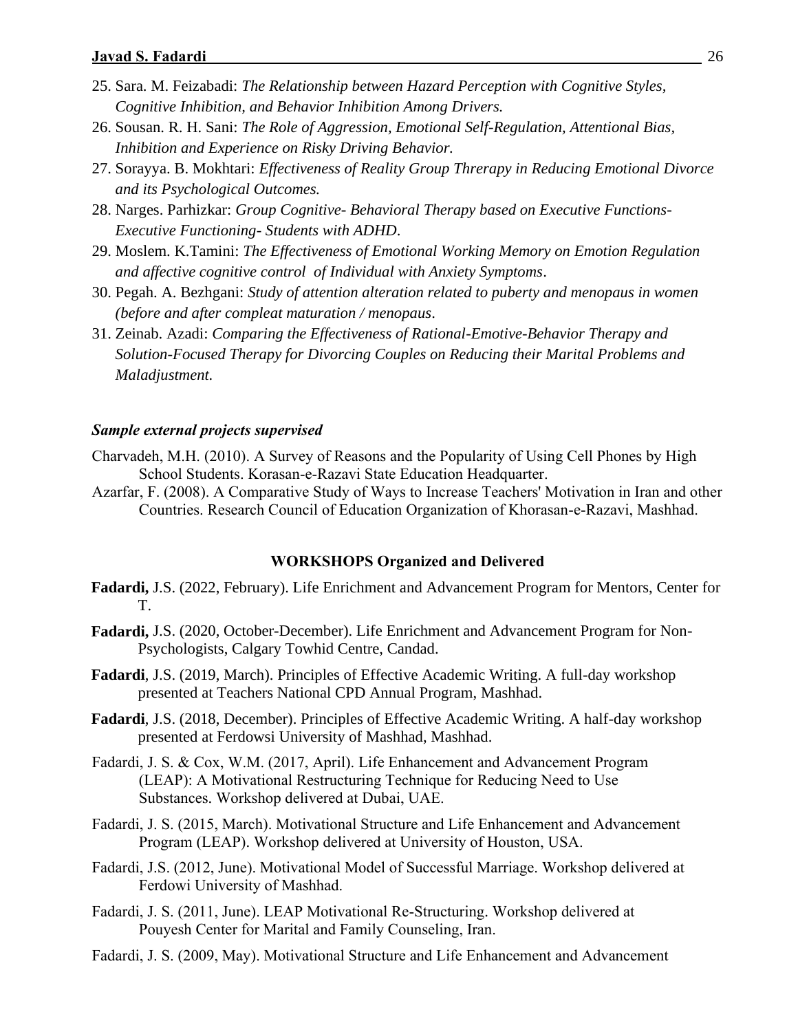- 25. Sara. M. Feizabadi: *The Relationship between Hazard Perception with Cognitive Styles, Cognitive Inhibition, and Behavior Inhibition Among Drivers.*
- 26. Sousan. R. H. Sani: *The Role of Aggression, Emotional Self-Regulation, Attentional Bias, Inhibition and Experience on Risky Driving Behavior.*
- 27. Sorayya. B. Mokhtari: *Effectiveness of Reality Group Threrapy in Reducing Emotional Divorce and its Psychological Outcomes.*
- 28. Narges. Parhizkar: *Group Cognitive- Behavioral Therapy based on Executive Functions-Executive Functioning- Students with ADHD*.
- 29. Moslem. K.Tamini: *The Effectiveness of Emotional Working Memory on Emotion Regulation and affective cognitive control of Individual with Anxiety Symptoms*.
- 30. Pegah. A. Bezhgani: *Study of attention alteration related to puberty and menopaus in women (before and after compleat maturation / menopaus*.
- 31. Zeinab. Azadi: *Comparing the Effectiveness of Rational-Emotive-Behavior Therapy and Solution-Focused Therapy for Divorcing Couples on Reducing their Marital Problems and Maladjustment.*

#### *Sample external projects supervised*

- Charvadeh, M.H. (2010). A Survey of Reasons and the Popularity of Using Cell Phones by High School Students. Korasan-e-Razavi State Education Headquarter.
- Azarfar, F. (2008). A Comparative Study of Ways to Increase Teachers' Motivation in Iran and other Countries. Research Council of Education Organization of Khorasan-e-Razavi, Mashhad.

#### **WORKSHOPS Organized and Delivered**

- **Fadardi,** J.S. (2022, February). Life Enrichment and Advancement Program for Mentors, Center for T.
- **Fadardi,** J.S. (2020, October-December). Life Enrichment and Advancement Program for Non-Psychologists, Calgary Towhid Centre, Candad.
- **Fadardi**, J.S. (2019, March). Principles of Effective Academic Writing. A full-day workshop presented at Teachers National CPD Annual Program, Mashhad.
- **Fadardi**, J.S. (2018, December). Principles of Effective Academic Writing. A half-day workshop presented at Ferdowsi University of Mashhad, Mashhad.
- Fadardi, J. S. & Cox, W.M. (2017, April). Life Enhancement and Advancement Program (LEAP): A Motivational Restructuring Technique for Reducing Need to Use Substances. Workshop delivered at Dubai, UAE.
- Fadardi, J. S. (2015, March). Motivational Structure and Life Enhancement and Advancement Program (LEAP). Workshop delivered at University of Houston, USA.
- Fadardi, J.S. (2012, June). Motivational Model of Successful Marriage. Workshop delivered at Ferdowi University of Mashhad.
- Fadardi, J. S. (2011, June). LEAP Motivational Re-Structuring. Workshop delivered at Pouyesh Center for Marital and Family Counseling, Iran.
- Fadardi, J. S. (2009, May). Motivational Structure and Life Enhancement and Advancement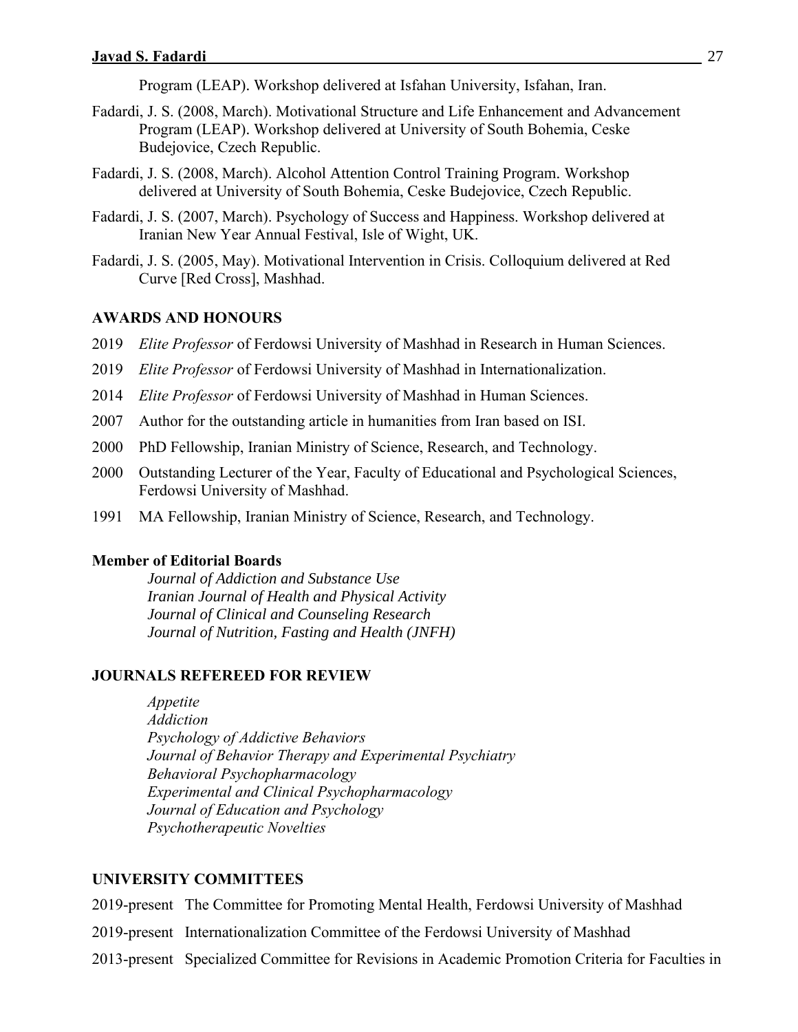Program (LEAP). Workshop delivered at Isfahan University, Isfahan, Iran.

- Fadardi, J. S. (2008, March). Motivational Structure and Life Enhancement and Advancement Program (LEAP). Workshop delivered at University of South Bohemia, Ceske Budejovice, Czech Republic.
- Fadardi, J. S. (2008, March). Alcohol Attention Control Training Program. Workshop delivered at University of South Bohemia, Ceske Budejovice, Czech Republic.
- Fadardi, J. S. (2007, March). Psychology of Success and Happiness. Workshop delivered at Iranian New Year Annual Festival, Isle of Wight, UK.
- Fadardi, J. S. (2005, May). Motivational Intervention in Crisis. Colloquium delivered at Red Curve [Red Cross], Mashhad.

### **AWARDS AND HONOURS**

- 2019 *Elite Professor* of Ferdowsi University of Mashhad in Research in Human Sciences.
- 2019 *Elite Professor* of Ferdowsi University of Mashhad in Internationalization.
- 2014 *Elite Professor* of Ferdowsi University of Mashhad in Human Sciences.
- 2007 Author for the outstanding article in humanities from Iran based on ISI.
- 2000 PhD Fellowship, Iranian Ministry of Science, Research, and Technology.
- 2000 Outstanding Lecturer of the Year, Faculty of Educational and Psychological Sciences, Ferdowsi University of Mashhad.
- 1991 MA Fellowship, Iranian Ministry of Science, Research, and Technology.

#### **Member of Editorial Boards**

*Journal of Addiction and Substance Use Iranian Journal of Health and Physical Activity Journal of Clinical and Counseling Research Journal of Nutrition, Fasting and Health (JNFH)*

#### **JOURNALS REFEREED FOR REVIEW**

*Appetite Addiction Psychology of Addictive Behaviors Journal of Behavior Therapy and Experimental Psychiatry Behavioral Psychopharmacology Experimental and Clinical Psychopharmacology Journal of Education and Psychology Psychotherapeutic Novelties*

#### **UNIVERSITY COMMITTEES**

2019-present The Committee for Promoting Mental Health, Ferdowsi University of Mashhad

- 2019-present Internationalization Committee of the Ferdowsi University of Mashhad
- 2013-present Specialized Committee for Revisions in Academic Promotion Criteria for Faculties in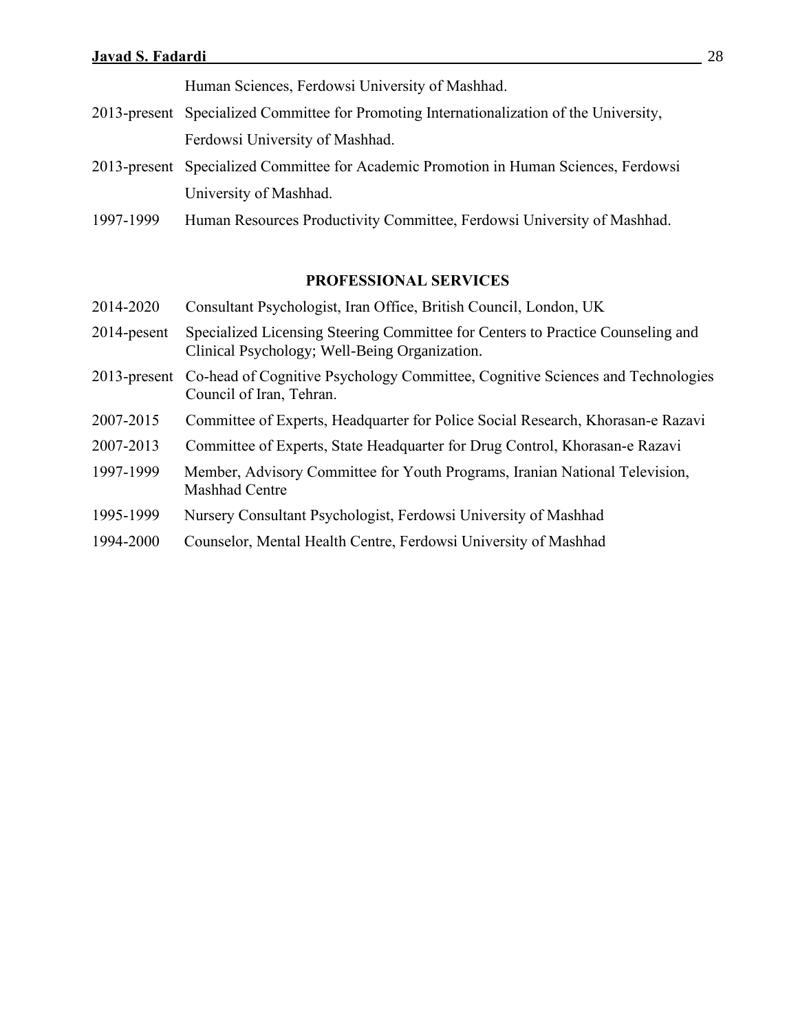Human Sciences, Ferdowsi University of Mashhad.

- 2013-present Specialized Committee for Promoting Internationalization of the University, Ferdowsi University of Mashhad.
- 2013-present Specialized Committee for Academic Promotion in Human Sciences, Ferdowsi University of Mashhad.
- 1997-1999 Human Resources Productivity Committee, Ferdowsi University of Mashhad.

### **PROFESSIONAL SERVICES**

- 2014-2020 Consultant Psychologist, Iran Office, British Council, London, UK
- 2014-pesent Specialized Licensing Steering Committee for Centers to Practice Counseling and Clinical Psychology; Well-Being Organization.
- 2013-present Co-head of Cognitive Psychology Committee, Cognitive Sciences and Technologies Council of Iran, Tehran.
- 2007-2015 Committee of Experts, Headquarter for Police Social Research, Khorasan-e Razavi
- 2007-2013 Committee of Experts, State Headquarter for Drug Control, Khorasan-e Razavi
- 1997-1999 Member, Advisory Committee for Youth Programs, Iranian National Television, Mashhad Centre
- 1995-1999 Nursery Consultant Psychologist, Ferdowsi University of Mashhad
- 1994-2000 Counselor, Mental Health Centre, Ferdowsi University of Mashhad